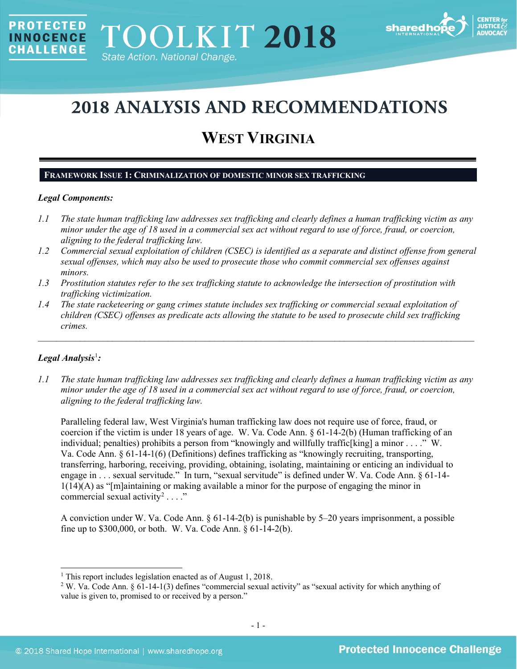

# **2018 ANALYSIS AND RECOMMENDATIONS**

# **WEST VIRGINIA**

# **FRAMEWORK ISSUE 1: CRIMINALIZATION OF DOMESTIC MINOR SEX TRAFFICKING**

### *Legal Components:*

**PROTECTED** 

**INNOCENCE CHALLENGE** 

- *1.1 The state human trafficking law addresses sex trafficking and clearly defines a human trafficking victim as any minor under the age of 18 used in a commercial sex act without regard to use of force, fraud, or coercion, aligning to the federal trafficking law.*
- *1.2 Commercial sexual exploitation of children (CSEC) is identified as a separate and distinct offense from general sexual offenses, which may also be used to prosecute those who commit commercial sex offenses against minors.*
- *1.3 Prostitution statutes refer to the sex trafficking statute to acknowledge the intersection of prostitution with trafficking victimization.*
- *1.4 The state racketeering or gang crimes statute includes sex trafficking or commercial sexual exploitation of children (CSEC) offenses as predicate acts allowing the statute to be used to prosecute child sex trafficking crimes.*

\_\_\_\_\_\_\_\_\_\_\_\_\_\_\_\_\_\_\_\_\_\_\_\_\_\_\_\_\_\_\_\_\_\_\_\_\_\_\_\_\_\_\_\_\_\_\_\_\_\_\_\_\_\_\_\_\_\_\_\_\_\_\_\_\_\_\_\_\_\_\_\_\_\_\_\_\_\_\_\_\_\_\_\_\_\_\_\_\_\_\_\_\_\_

# *Legal Analysis*[1](#page-0-0) *:*

*1.1 The state human trafficking law addresses sex trafficking and clearly defines a human trafficking victim as any minor under the age of 18 used in a commercial sex act without regard to use of force, fraud, or coercion, aligning to the federal trafficking law.*

Paralleling federal law, West Virginia's human trafficking law does not require use of force, fraud, or coercion if the victim is under 18 years of age. W. Va. Code Ann. § 61-14-2(b) (Human trafficking of an individual; penalties) prohibits a person from "knowingly and willfully traffic[king] a minor . . . ." W. Va. Code Ann. § 61-14-1(6) (Definitions) defines trafficking as "knowingly recruiting, transporting, transferring, harboring, receiving, providing, obtaining, isolating, maintaining or enticing an individual to engage in . . . sexual servitude." In turn, "sexual servitude" is defined under W. Va. Code Ann. § 61-14- 1(14)(A) as "[m]aintaining or making available a minor for the purpose of engaging the minor in commercial sexual activity<sup>[2](#page-0-1)</sup> . . . ."

A conviction under W. Va. Code Ann. § 61-14-2(b) is punishable by 5–20 years imprisonment, a possible fine up to \$300,000, or both. W. Va. Code Ann. § 61-14-2(b).

<span id="page-0-0"></span><sup>&</sup>lt;sup>1</sup> This report includes legislation enacted as of August 1, 2018.

<span id="page-0-1"></span><sup>2</sup> W. Va. Code Ann. § 61-14-1(3) defines "commercial sexual activity" as "sexual activity for which anything of value is given to, promised to or received by a person."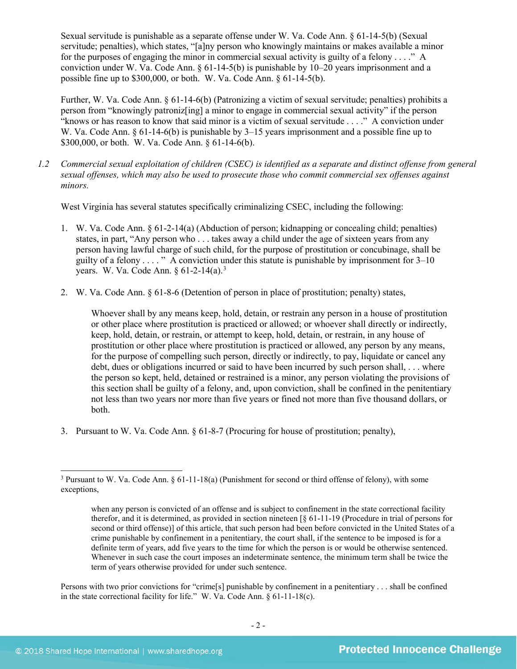Sexual servitude is punishable as a separate offense under W. Va. Code Ann. § 61-14-5(b) (Sexual servitude; penalties), which states, "[a]ny person who knowingly maintains or makes available a minor for the purposes of engaging the minor in commercial sexual activity is guilty of a felony . . . ." A conviction under W. Va. Code Ann. § 61-14-5(b) is punishable by 10–20 years imprisonment and a possible fine up to \$300,000, or both. W. Va. Code Ann. § 61-14-5(b).

Further, W. Va. Code Ann. § 61-14-6(b) (Patronizing a victim of sexual servitude; penalties) prohibits a person from "knowingly patroniz[ing] a minor to engage in commercial sexual activity" if the person "knows or has reason to know that said minor is a victim of sexual servitude . . . ." A conviction under W. Va. Code Ann. § 61-14-6(b) is punishable by 3–15 years imprisonment and a possible fine up to \$300,000, or both. W. Va. Code Ann. § 61-14-6(b).

<span id="page-1-1"></span>*1.2 Commercial sexual exploitation of children (CSEC) is identified as a separate and distinct offense from general sexual offenses, which may also be used to prosecute those who commit commercial sex offenses against minors.*

West Virginia has several statutes specifically criminalizing CSEC, including the following:

- 1. W. Va. Code Ann. § 61-2-14(a) (Abduction of person; kidnapping or concealing child; penalties) states, in part, "Any person who . . . takes away a child under the age of sixteen years from any person having lawful charge of such child, for the purpose of prostitution or concubinage, shall be guilty of a felony  $\dots$  " A conviction under this statute is punishable by imprisonment for  $3-10$ years. W. Va. Code Ann. § 61-2-14(a).<sup>[3](#page-1-0)</sup>
- 2. W. Va. Code Ann. § 61-8-6 (Detention of person in place of prostitution; penalty) states,

Whoever shall by any means keep, hold, detain, or restrain any person in a house of prostitution or other place where prostitution is practiced or allowed; or whoever shall directly or indirectly, keep, hold, detain, or restrain, or attempt to keep, hold, detain, or restrain, in any house of prostitution or other place where prostitution is practiced or allowed, any person by any means, for the purpose of compelling such person, directly or indirectly, to pay, liquidate or cancel any debt, dues or obligations incurred or said to have been incurred by such person shall, . . . where the person so kept, held, detained or restrained is a minor, any person violating the provisions of this section shall be guilty of a felony, and, upon conviction, shall be confined in the penitentiary not less than two years nor more than five years or fined not more than five thousand dollars, or both.

3. Pursuant to W. Va. Code Ann. § 61-8-7 (Procuring for house of prostitution; penalty),

Persons with two prior convictions for "crime[s] punishable by confinement in a penitentiary . . . shall be confined in the state correctional facility for life." W. Va. Code Ann.  $\S 61-11-18(c)$ .

<span id="page-1-0"></span> <sup>3</sup> Pursuant to W. Va. Code Ann. § 61-11-18(a) (Punishment for second or third offense of felony), with some exceptions,

when any person is convicted of an offense and is subject to confinement in the state correctional facility therefor, and it is determined, as provided in section nineteen [§ 61-11-19 (Procedure in trial of persons for second or third offense)] of this article, that such person had been before convicted in the United States of a crime punishable by confinement in a penitentiary, the court shall, if the sentence to be imposed is for a definite term of years, add five years to the time for which the person is or would be otherwise sentenced. Whenever in such case the court imposes an indeterminate sentence, the minimum term shall be twice the term of years otherwise provided for under such sentence.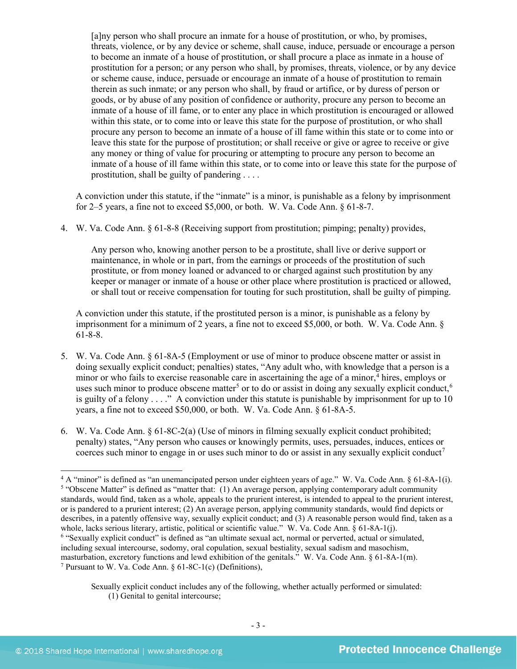[a]ny person who shall procure an inmate for a house of prostitution, or who, by promises, threats, violence, or by any device or scheme, shall cause, induce, persuade or encourage a person to become an inmate of a house of prostitution, or shall procure a place as inmate in a house of prostitution for a person; or any person who shall, by promises, threats, violence, or by any device or scheme cause, induce, persuade or encourage an inmate of a house of prostitution to remain therein as such inmate; or any person who shall, by fraud or artifice, or by duress of person or goods, or by abuse of any position of confidence or authority, procure any person to become an inmate of a house of ill fame, or to enter any place in which prostitution is encouraged or allowed within this state, or to come into or leave this state for the purpose of prostitution, or who shall procure any person to become an inmate of a house of ill fame within this state or to come into or leave this state for the purpose of prostitution; or shall receive or give or agree to receive or give any money or thing of value for procuring or attempting to procure any person to become an inmate of a house of ill fame within this state, or to come into or leave this state for the purpose of prostitution, shall be guilty of pandering . . . .

A conviction under this statute, if the "inmate" is a minor, is punishable as a felony by imprisonment for 2–5 years, a fine not to exceed  $$5,000$ , or both. W. Va. Code Ann.  $§$  61-8-7.

4. W. Va. Code Ann. § 61-8-8 (Receiving support from prostitution; pimping; penalty) provides,

Any person who, knowing another person to be a prostitute, shall live or derive support or maintenance, in whole or in part, from the earnings or proceeds of the prostitution of such prostitute, or from money loaned or advanced to or charged against such prostitution by any keeper or manager or inmate of a house or other place where prostitution is practiced or allowed, or shall tout or receive compensation for touting for such prostitution, shall be guilty of pimping.

<span id="page-2-5"></span><span id="page-2-4"></span>A conviction under this statute, if the prostituted person is a minor, is punishable as a felony by imprisonment for a minimum of 2 years, a fine not to exceed \$5,000, or both. W. Va. Code Ann. § 61-8-8.

- 5. W. Va. Code Ann. § 61-8A-5 (Employment or use of minor to produce obscene matter or assist in doing sexually explicit conduct; penalties) states, "Any adult who, with knowledge that a person is a minor or who fails to exercise reasonable care in ascertaining the age of a minor,<sup>[4](#page-2-0)</sup> hires, employs or uses such minor to produce obscene matter<sup>[5](#page-2-1)</sup> or to do or assist in doing any sexually explicit conduct,  $6$ is guilty of a felony  $\dots$ ." A conviction under this statute is punishable by imprisonment for up to 10 years, a fine not to exceed \$50,000, or both. W. Va. Code Ann. § 61-8A-5.
- 6. W. Va. Code Ann. § 61-8C-2(a) (Use of minors in filming sexually explicit conduct prohibited; penalty) states, "Any person who causes or knowingly permits, uses, persuades, induces, entices or coerces such minor to engage in or uses such minor to do or assist in any sexually explicit conduct<sup>[7](#page-2-3)</sup>

<span id="page-2-2"></span><span id="page-2-1"></span><span id="page-2-0"></span> <sup>4</sup> <sup>A</sup> "minor" is defined as "an unemancipated person under eighteen years of age." W. Va. Code Ann. § 61-8A-1(i). <sup>5</sup> "Obscene Matter" is defined as "matter that: (1) An average person, applying contemporary adult community standards, would find, taken as a whole, appeals to the prurient interest, is intended to appeal to the prurient interest, or is pandered to a prurient interest; (2) An average person, applying community standards, would find depicts or describes, in a patently offensive way, sexually explicit conduct; and (3) A reasonable person would find, taken as a whole, lacks serious literary, artistic, political or scientific value." W. Va. Code Ann. § 61-8A-1(j). <sup>6</sup> "Sexually explicit conduct" is defined as "an ultimate sexual act, normal or perverted, actual or simulated, including sexual intercourse, sodomy, oral copulation, sexual bestiality, sexual sadism and masochism, masturbation, excretory functions and lewd exhibition of the genitals." W. Va. Code Ann. § 61-8A-1(m). <sup>7</sup> Pursuant to W. Va. Code Ann. § 61-8C-1(c) (Definitions),

<span id="page-2-6"></span><span id="page-2-3"></span>Sexually explicit conduct includes any of the following, whether actually performed or simulated: (1) Genital to genital intercourse;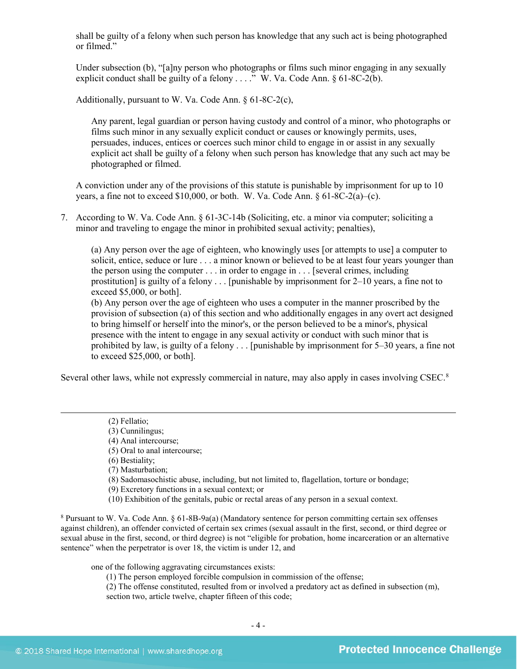shall be guilty of a felony when such person has knowledge that any such act is being photographed or filmed."

Under subsection (b), "[a]ny person who photographs or films such minor engaging in any sexually explicit conduct shall be guilty of a felony  $\ldots$ ." W. Va. Code Ann. § 61-8C-2(b).

Additionally, pursuant to W. Va. Code Ann. § 61-8C-2(c),

Any parent, legal guardian or person having custody and control of a minor, who photographs or films such minor in any sexually explicit conduct or causes or knowingly permits, uses, persuades, induces, entices or coerces such minor child to engage in or assist in any sexually explicit act shall be guilty of a felony when such person has knowledge that any such act may be photographed or filmed.

A conviction under any of the provisions of this statute is punishable by imprisonment for up to 10 years, a fine not to exceed \$10,000, or both. W. Va. Code Ann.  $\frac{6}{9}$  61-8C-2(a)–(c).

7. According to W. Va. Code Ann. § 61-3C-14b (Soliciting, etc. a minor via computer; soliciting a minor and traveling to engage the minor in prohibited sexual activity; penalties),

(a) Any person over the age of eighteen, who knowingly uses [or attempts to use] a computer to solicit, entice, seduce or lure . . . a minor known or believed to be at least four years younger than the person using the computer . . . in order to engage in . . . [several crimes, including prostitution] is guilty of a felony . . . [punishable by imprisonment for 2–10 years, a fine not to exceed \$5,000, or both].

(b) Any person over the age of eighteen who uses a computer in the manner proscribed by the provision of subsection (a) of this section and who additionally engages in any overt act designed to bring himself or herself into the minor's, or the person believed to be a minor's, physical presence with the intent to engage in any sexual activity or conduct with such minor that is prohibited by law, is guilty of a felony . . . [punishable by imprisonment for 5–30 years, a fine not to exceed \$25,000, or both].

Several other laws, while not expressly commercial in nature, may also apply in cases involving CSEC.<sup>[8](#page-3-0)</sup>

<span id="page-3-1"></span>(2) Fellatio;

 $\overline{a}$ 

- (3) Cunnilingus;
- (4) Anal intercourse;
- (5) Oral to anal intercourse;
- (6) Bestiality;
- (7) Masturbation;
- (8) Sadomasochistic abuse, including, but not limited to, flagellation, torture or bondage;
- (9) Excretory functions in a sexual context; or
- (10) Exhibition of the genitals, pubic or rectal areas of any person in a sexual context.

<span id="page-3-0"></span><sup>8</sup> Pursuant to W. Va. Code Ann. § 61-8B-9a(a) (Mandatory sentence for person committing certain sex offenses against children), an offender convicted of certain sex crimes (sexual assault in the first, second, or third degree or sexual abuse in the first, second, or third degree) is not "eligible for probation, home incarceration or an alternative sentence" when the perpetrator is over 18, the victim is under 12, and

one of the following aggravating circumstances exists:

- (1) The person employed forcible compulsion in commission of the offense;
- (2) The offense constituted, resulted from or involved a predatory act as defined in subsection (m), section two, article twelve, chapter fifteen of this code;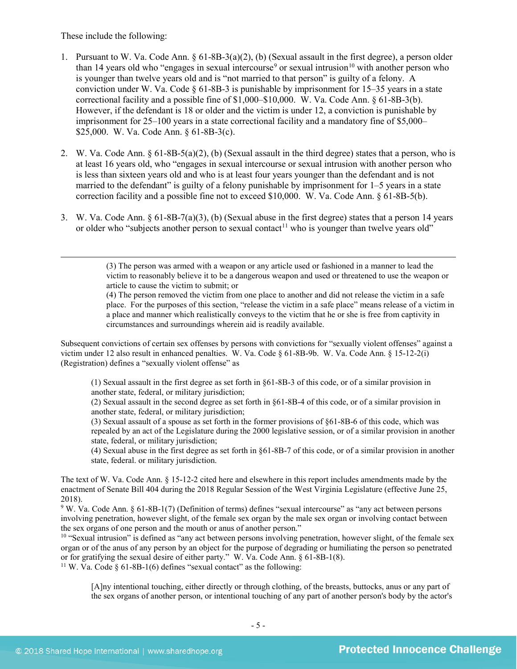These include the following:

 $\overline{a}$ 

- 1. Pursuant to W. Va. Code Ann. § 61-8B-3(a)(2), (b) (Sexual assault in the first degree), a person older than 14 years old who "engages in sexual intercourse" or sexual intrusion<sup>[10](#page-4-1)</sup> with another person who is younger than twelve years old and is "not married to that person" is guilty of a felony. A conviction under W. Va. Code  $\S 61-8B-3$  is punishable by imprisonment for 15–35 years in a state correctional facility and a possible fine of \$1,000–\$10,000. W. Va. Code Ann. § 61-8B-3(b). However, if the defendant is 18 or older and the victim is under 12, a conviction is punishable by imprisonment for 25–100 years in a state correctional facility and a mandatory fine of \$5,000– \$25,000. W. Va. Code Ann. § 61-8B-3(c).
- 2. W. Va. Code Ann. § 61-8B-5(a)(2), (b) (Sexual assault in the third degree) states that a person, who is at least 16 years old, who "engages in sexual intercourse or sexual intrusion with another person who is less than sixteen years old and who is at least four years younger than the defendant and is not married to the defendant" is guilty of a felony punishable by imprisonment for 1–5 years in a state correction facility and a possible fine not to exceed \$10,000. W. Va. Code Ann. § 61-8B-5(b).
- 3. W. Va. Code Ann. § 61-8B-7(a)(3), (b) (Sexual abuse in the first degree) states that a person 14 years or older who "subjects another person to sexual contact<sup>[11](#page-4-2)</sup> who is younger than twelve years old"

(3) The person was armed with a weapon or any article used or fashioned in a manner to lead the victim to reasonably believe it to be a dangerous weapon and used or threatened to use the weapon or article to cause the victim to submit; or

(4) The person removed the victim from one place to another and did not release the victim in a safe place. For the purposes of this section, "release the victim in a safe place" means release of a victim in a place and manner which realistically conveys to the victim that he or she is free from captivity in circumstances and surroundings wherein aid is readily available.

Subsequent convictions of certain sex offenses by persons with convictions for "sexually violent offenses" against a victim under 12 also result in enhanced penalties. W. Va. Code § 61-8B-9b. W. Va. Code Ann. § 15-12-2(i) (Registration) defines a "sexually violent offense" as

(1) Sexual assault in the first degree as set forth in §61-8B-3 of this code, or of a similar provision in another state, federal, or military jurisdiction;

(2) Sexual assault in the second degree as set forth in §61-8B-4 of this code, or of a similar provision in another state, federal, or military jurisdiction;

(3) Sexual assault of a spouse as set forth in the former provisions of §61-8B-6 of this code, which was repealed by an act of the Legislature during the 2000 legislative session, or of a similar provision in another state, federal, or military jurisdiction;

(4) Sexual abuse in the first degree as set forth in §61-8B-7 of this code, or of a similar provision in another state, federal. or military jurisdiction.

The text of W. Va. Code Ann. § 15-12-2 cited here and elsewhere in this report includes amendments made by the enactment of Senate Bill 404 during the 2018 Regular Session of the West Virginia Legislature (effective June 25, 2018).

<span id="page-4-0"></span><sup>9</sup> W. Va. Code Ann. § 61-8B-1(7) (Definition of terms) defines "sexual intercourse" as "any act between persons involving penetration, however slight, of the female sex organ by the male sex organ or involving contact between the sex organs of one person and the mouth or anus of another person."

<span id="page-4-2"></span><span id="page-4-1"></span><sup>10</sup> "Sexual intrusion" is defined as "any act between persons involving penetration, however slight, of the female sex organ or of the anus of any person by an object for the purpose of degrading or humiliating the person so penetrated or for gratifying the sexual desire of either party." W. Va. Code Ann. § 61-8B-1(8). <sup>11</sup> W. Va. Code § 61-8B-1(6) defines "sexual contact" as the following:

[A]ny intentional touching, either directly or through clothing, of the breasts, buttocks, anus or any part of the sex organs of another person, or intentional touching of any part of another person's body by the actor's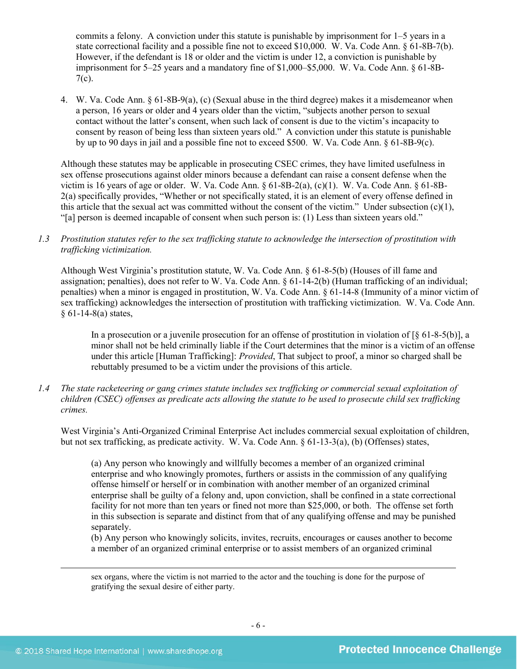commits a felony. A conviction under this statute is punishable by imprisonment for 1–5 years in a state correctional facility and a possible fine not to exceed \$10,000. W. Va. Code Ann. § 61-8B-7(b). However, if the defendant is 18 or older and the victim is under 12, a conviction is punishable by imprisonment for 5–25 years and a mandatory fine of \$1,000–\$5,000. W. Va. Code Ann. § 61-8B-7(c).

4. W. Va. Code Ann. § 61-8B-9(a), (c) (Sexual abuse in the third degree) makes it a misdemeanor when a person, 16 years or older and 4 years older than the victim, "subjects another person to sexual contact without the latter's consent, when such lack of consent is due to the victim's incapacity to consent by reason of being less than sixteen years old." A conviction under this statute is punishable by up to 90 days in jail and a possible fine not to exceed \$500. W. Va. Code Ann. § 61-8B-9(c).

Although these statutes may be applicable in prosecuting CSEC crimes, they have limited usefulness in sex offense prosecutions against older minors because a defendant can raise a consent defense when the victim is 16 years of age or older. W. Va. Code Ann. § 61-8B-2(a), (c)(1). W. Va. Code Ann. § 61-8B-2(a) specifically provides, "Whether or not specifically stated, it is an element of every offense defined in this article that the sexual act was committed without the consent of the victim." Under subsection  $(c)(1)$ , "[a] person is deemed incapable of consent when such person is: (1) Less than sixteen years old."

*1.3 Prostitution statutes refer to the sex trafficking statute to acknowledge the intersection of prostitution with trafficking victimization.* 

Although West Virginia's prostitution statute, W. Va. Code Ann. § 61-8-5(b) (Houses of ill fame and assignation; penalties), does not refer to W. Va. Code Ann. § 61-14-2(b) (Human trafficking of an individual; penalties) when a minor is engaged in prostitution, W. Va. Code Ann. § 61-14-8 (Immunity of a minor victim of sex trafficking) acknowledges the intersection of prostitution with trafficking victimization. W. Va. Code Ann.  $§ 61-14-8(a) states,$ 

In a prosecution or a juvenile prosecution for an offense of prostitution in violation of [§ 61-8-5(b)], a minor shall not be held criminally liable if the Court determines that the minor is a victim of an offense under this article [Human Trafficking]: *Provided*, That subject to proof, a minor so charged shall be rebuttably presumed to be a victim under the provisions of this article.

*1.4 The state racketeering or gang crimes statute includes sex trafficking or commercial sexual exploitation of children (CSEC) offenses as predicate acts allowing the statute to be used to prosecute child sex trafficking crimes.* 

West Virginia's Anti-Organized Criminal Enterprise Act includes commercial sexual exploitation of children, but not sex trafficking, as predicate activity. W. Va. Code Ann. § 61-13-3(a), (b) (Offenses) states,

(a) Any person who knowingly and willfully becomes a member of an organized criminal enterprise and who knowingly promotes, furthers or assists in the commission of any qualifying offense himself or herself or in combination with another member of an organized criminal enterprise shall be guilty of a felony and, upon conviction, shall be confined in a state correctional facility for not more than ten years or fined not more than \$25,000, or both. The offense set forth in this subsection is separate and distinct from that of any qualifying offense and may be punished separately.

(b) Any person who knowingly solicits, invites, recruits, encourages or causes another to become a member of an organized criminal enterprise or to assist members of an organized criminal

sex organs, where the victim is not married to the actor and the touching is done for the purpose of gratifying the sexual desire of either party.

 $\overline{a}$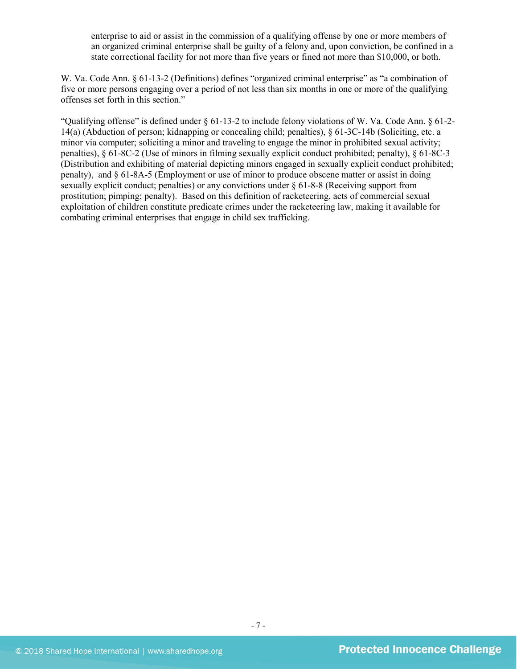enterprise to aid or assist in the commission of a qualifying offense by one or more members of an organized criminal enterprise shall be guilty of a felony and, upon conviction, be confined in a state correctional facility for not more than five years or fined not more than \$10,000, or both.

W. Va. Code Ann. § 61-13-2 (Definitions) defines "organized criminal enterprise" as "a combination of five or more persons engaging over a period of not less than six months in one or more of the qualifying offenses set forth in this section."

"Qualifying offense" is defined under § 61-13-2 to include felony violations of W. Va. Code Ann. § 61-2- 14(a) (Abduction of person; kidnapping or concealing child; penalties), § 61-3C-14b (Soliciting, etc. a minor via computer; soliciting a minor and traveling to engage the minor in prohibited sexual activity; penalties), § 61-8C-2 (Use of minors in filming sexually explicit conduct prohibited; penalty), § 61-8C-3 (Distribution and exhibiting of material depicting minors engaged in sexually explicit conduct prohibited; penalty), and § 61-8A-5 (Employment or use of minor to produce obscene matter or assist in doing sexually explicit conduct; penalties) or any convictions under § 61-8-8 (Receiving support from prostitution; pimping; penalty). Based on this definition of racketeering, acts of commercial sexual exploitation of children constitute predicate crimes under the racketeering law, making it available for combating criminal enterprises that engage in child sex trafficking.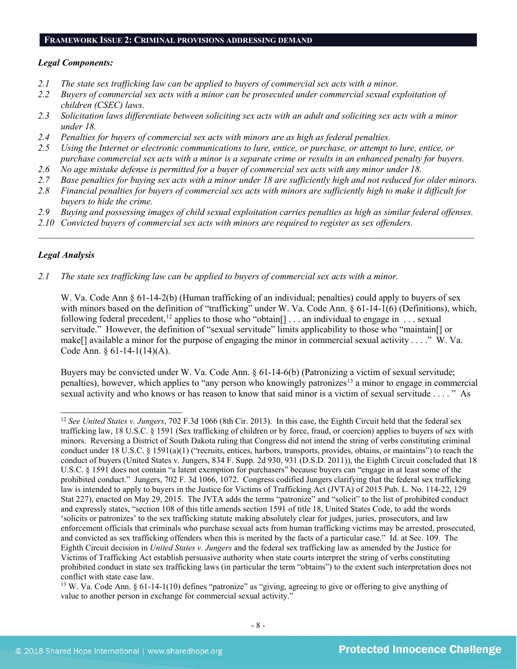#### **FRAMEWORK ISSUE 2: CRIMINAL PROVISIONS ADDRESSING DEMAND**

#### *Legal Components:*

- *2.1 The state sex trafficking law can be applied to buyers of commercial sex acts with a minor.*
- *2.2 Buyers of commercial sex acts with a minor can be prosecuted under commercial sexual exploitation of children (CSEC) laws.*
- *2.3 Solicitation laws differentiate between soliciting sex acts with an adult and soliciting sex acts with a minor under 18.*
- *2.4 Penalties for buyers of commercial sex acts with minors are as high as federal penalties.*
- *2.5 Using the Internet or electronic communications to lure, entice, or purchase, or attempt to lure, entice, or purchase commercial sex acts with a minor is a separate crime or results in an enhanced penalty for buyers.*
- *2.6 No age mistake defense is permitted for a buyer of commercial sex acts with any minor under 18.*
- *2.7 Base penalties for buying sex acts with a minor under 18 are sufficiently high and not reduced for older minors.*
- *2.8 Financial penalties for buyers of commercial sex acts with minors are sufficiently high to make it difficult for buyers to hide the crime.*
- *2.9 Buying and possessing images of child sexual exploitation carries penalties as high as similar federal offenses.*

 $\mathcal{L}_\mathcal{L} = \mathcal{L}_\mathcal{L} = \mathcal{L}_\mathcal{L} = \mathcal{L}_\mathcal{L} = \mathcal{L}_\mathcal{L} = \mathcal{L}_\mathcal{L} = \mathcal{L}_\mathcal{L} = \mathcal{L}_\mathcal{L} = \mathcal{L}_\mathcal{L} = \mathcal{L}_\mathcal{L} = \mathcal{L}_\mathcal{L} = \mathcal{L}_\mathcal{L} = \mathcal{L}_\mathcal{L} = \mathcal{L}_\mathcal{L} = \mathcal{L}_\mathcal{L} = \mathcal{L}_\mathcal{L} = \mathcal{L}_\mathcal{L}$ 

*2.10 Convicted buyers of commercial sex acts with minors are required to register as sex offenders.*

### *Legal Analysis*

*2.1 The state sex trafficking law can be applied to buyers of commercial sex acts with a minor.*

W. Va. Code Ann § 61-14-2(b) (Human trafficking of an individual; penalties) could apply to buyers of sex with minors based on the definition of "trafficking" under W. Va. Code Ann. § 61-14-1(6) (Definitions), which, following federal precedent,<sup>[12](#page-7-0)</sup> applies to those who "obtain[]  $\dots$  an individual to engage in  $\dots$  sexual servitude." However, the definition of "sexual servitude" limits applicability to those who "maintain[] or make[] available a minor for the purpose of engaging the minor in commercial sexual activity . . . ." W. Va. Code Ann. § 61-14-1(14)(A).

Buyers may be convicted under W. Va. Code Ann. § 61-14-6(b) (Patronizing a victim of sexual servitude; penalties), however, which applies to "any person who knowingly patronizes<sup>[13](#page-7-1)</sup> a minor to engage in commercial sexual activity and who knows or has reason to know that said minor is a victim of sexual servitude . . . . " As

<span id="page-7-0"></span> <sup>12</sup> *See United States v. Jungers*, 702 F.3d 1066 (8th Cir. 2013). In this case, the Eighth Circuit held that the federal sex trafficking law, 18 U.S.C. § 1591 (Sex trafficking of children or by force, fraud, or coercion) applies to buyers of sex with minors. Reversing a District of South Dakota ruling that Congress did not intend the string of verbs constituting criminal conduct under 18 U.S.C. § 1591(a)(1) ("recruits, entices, harbors, transports, provides, obtains, or maintains") to reach the conduct of buyers (United States v. Jungers, 834 F. Supp. 2d 930, 931 (D.S.D. 2011)), the Eighth Circuit concluded that 18 U.S.C. § 1591 does not contain "a latent exemption for purchasers" because buyers can "engage in at least some of the prohibited conduct." Jungers, 702 F. 3d 1066, 1072. Congress codified Jungers clarifying that the federal sex trafficking law is intended to apply to buyers in the Justice for Victims of Trafficking Act (JVTA) of 2015 Pub. L. No. 114-22, 129 Stat 227), enacted on May 29, 2015. The JVTA adds the terms "patronize" and "solicit" to the list of prohibited conduct and expressly states, "section 108 of this title amends section 1591 of title 18, United States Code, to add the words 'solicits or patronizes' to the sex trafficking statute making absolutely clear for judges, juries, prosecutors, and law enforcement officials that criminals who purchase sexual acts from human trafficking victims may be arrested, prosecuted, and convicted as sex trafficking offenders when this is merited by the facts of a particular case." Id. at Sec. 109. The Eighth Circuit decision in *United States v. Jungers* and the federal sex trafficking law as amended by the Justice for Victims of Trafficking Act establish persuasive authority when state courts interpret the string of verbs constituting prohibited conduct in state sex trafficking laws (in particular the term "obtains") to the extent such interpretation does not conflict with state case law.

<span id="page-7-1"></span><sup>&</sup>lt;sup>13</sup> W. Va. Code Ann. § 61-14-1(10) defines "patronize" as "giving, agreeing to give or offering to give anything of value to another person in exchange for commercial sexual activity."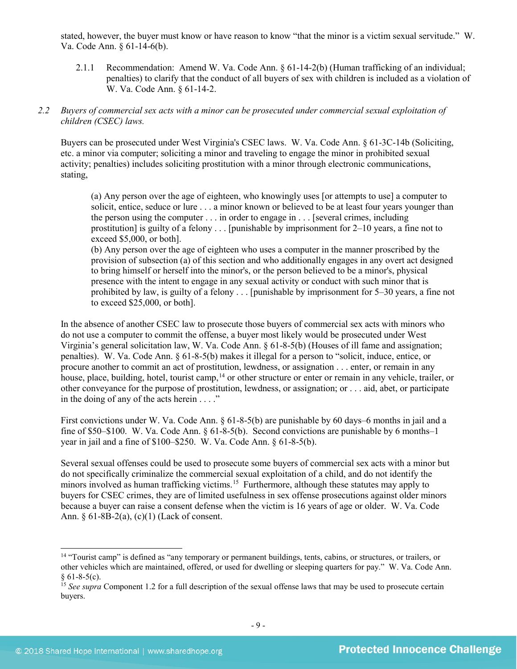stated, however, the buyer must know or have reason to know "that the minor is a victim sexual servitude." W. Va. Code Ann. § 61-14-6(b).

2.1.1 Recommendation: Amend W. Va. Code Ann. § 61-14-2(b) (Human trafficking of an individual; penalties) to clarify that the conduct of all buyers of sex with children is included as a violation of W. Va. Code Ann. § 61-14-2.

# *2.2 Buyers of commercial sex acts with a minor can be prosecuted under commercial sexual exploitation of children (CSEC) laws.*

Buyers can be prosecuted under West Virginia's CSEC laws. W. Va. Code Ann. § 61-3C-14b (Soliciting, etc. a minor via computer; soliciting a minor and traveling to engage the minor in prohibited sexual activity; penalties) includes soliciting prostitution with a minor through electronic communications, stating,

(a) Any person over the age of eighteen, who knowingly uses [or attempts to use] a computer to solicit, entice, seduce or lure . . . a minor known or believed to be at least four years younger than the person using the computer . . . in order to engage in . . . [several crimes, including prostitution] is guilty of a felony . . . [punishable by imprisonment for 2–10 years, a fine not to exceed \$5,000, or both].

(b) Any person over the age of eighteen who uses a computer in the manner proscribed by the provision of subsection (a) of this section and who additionally engages in any overt act designed to bring himself or herself into the minor's, or the person believed to be a minor's, physical presence with the intent to engage in any sexual activity or conduct with such minor that is prohibited by law, is guilty of a felony . . . [punishable by imprisonment for 5–30 years, a fine not to exceed \$25,000, or both].

In the absence of another CSEC law to prosecute those buyers of commercial sex acts with minors who do not use a computer to commit the offense, a buyer most likely would be prosecuted under West Virginia's general solicitation law, W. Va. Code Ann. § 61-8-5(b) (Houses of ill fame and assignation; penalties). W. Va. Code Ann. § 61-8-5(b) makes it illegal for a person to "solicit, induce, entice, or procure another to commit an act of prostitution, lewdness, or assignation . . . enter, or remain in any house, place, building, hotel, tourist camp, <sup>[14](#page-8-0)</sup> or other structure or enter or remain in any vehicle, trailer, or other conveyance for the purpose of prostitution, lewdness, or assignation; or . . . aid, abet, or participate in the doing of any of the acts herein . . . ."

First convictions under W. Va. Code Ann. § 61-8-5(b) are punishable by 60 days–6 months in jail and a fine of \$50–\$100. W. Va. Code Ann. § 61-8-5(b). Second convictions are punishable by 6 months–1 year in jail and a fine of \$100–\$250. W. Va. Code Ann. § 61-8-5(b).

Several sexual offenses could be used to prosecute some buyers of commercial sex acts with a minor but do not specifically criminalize the commercial sexual exploitation of a child, and do not identify the minors involved as human trafficking victims.<sup>15</sup> Furthermore, although these statutes may apply to buyers for CSEC crimes, they are of limited usefulness in sex offense prosecutions against older minors because a buyer can raise a consent defense when the victim is 16 years of age or older. W. Va. Code Ann. § 61-8B-2(a), (c)(1) (Lack of consent.

<span id="page-8-0"></span><sup>&</sup>lt;sup>14</sup> "Tourist camp" is defined as "any temporary or permanent buildings, tents, cabins, or structures, or trailers, or other vehicles which are maintained, offered, or used for dwelling or sleeping quarters for pay." W. Va. Code Ann.  $§ 61-8-5(c).$ 

<span id="page-8-1"></span><sup>&</sup>lt;sup>15</sup> See supra Component 1.2 for a full description of the sexual offense laws that may be used to prosecute certain buyers.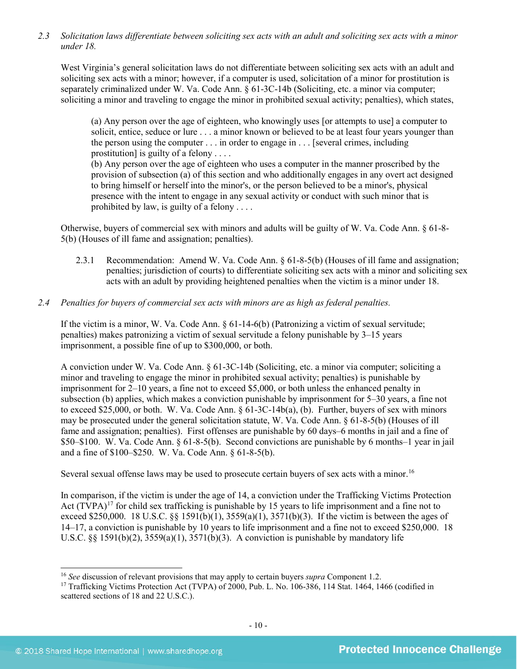*2.3 Solicitation laws differentiate between soliciting sex acts with an adult and soliciting sex acts with a minor under 18.*

West Virginia's general solicitation laws do not differentiate between soliciting sex acts with an adult and soliciting sex acts with a minor; however, if a computer is used, solicitation of a minor for prostitution is separately criminalized under W. Va. Code Ann. § 61-3C-14b (Soliciting, etc. a minor via computer; soliciting a minor and traveling to engage the minor in prohibited sexual activity; penalties), which states,

(a) Any person over the age of eighteen, who knowingly uses [or attempts to use] a computer to solicit, entice, seduce or lure . . . a minor known or believed to be at least four years younger than the person using the computer . . . in order to engage in . . . [several crimes, including prostitution] is guilty of a felony . . . .

(b) Any person over the age of eighteen who uses a computer in the manner proscribed by the provision of subsection (a) of this section and who additionally engages in any overt act designed to bring himself or herself into the minor's, or the person believed to be a minor's, physical presence with the intent to engage in any sexual activity or conduct with such minor that is prohibited by law, is guilty of a felony . . . .

Otherwise, buyers of commercial sex with minors and adults will be guilty of W. Va. Code Ann. § 61-8- 5(b) (Houses of ill fame and assignation; penalties).

- 2.3.1 Recommendation: Amend W. Va. Code Ann. § 61-8-5(b) (Houses of ill fame and assignation; penalties; jurisdiction of courts) to differentiate soliciting sex acts with a minor and soliciting sex acts with an adult by providing heightened penalties when the victim is a minor under 18.
- *2.4 Penalties for buyers of commercial sex acts with minors are as high as federal penalties.*

If the victim is a minor, W. Va. Code Ann. § 61-14-6(b) (Patronizing a victim of sexual servitude; penalties) makes patronizing a victim of sexual servitude a felony punishable by 3–15 years imprisonment, a possible fine of up to \$300,000, or both.

A conviction under W. Va. Code Ann. § 61-3C-14b (Soliciting, etc. a minor via computer; soliciting a minor and traveling to engage the minor in prohibited sexual activity; penalties) is punishable by imprisonment for 2–10 years, a fine not to exceed \$5,000, or both unless the enhanced penalty in subsection (b) applies, which makes a conviction punishable by imprisonment for 5–30 years, a fine not to exceed \$25,000, or both. W. Va. Code Ann. § 61-3C-14b(a), (b). Further, buyers of sex with minors may be prosecuted under the general solicitation statute, W. Va. Code Ann. § 61-8-5(b) (Houses of ill fame and assignation; penalties). First offenses are punishable by 60 days–6 months in jail and a fine of \$50–\$100. W. Va. Code Ann. § 61-8-5(b). Second convictions are punishable by 6 months–1 year in jail and a fine of \$100–\$250. W. Va. Code Ann. § 61-8-5(b).

Several sexual offense laws may be used to prosecute certain buyers of sex acts with a minor.<sup>[16](#page-9-0)</sup>

<span id="page-9-2"></span>In comparison, if the victim is under the age of 14, a conviction under the Trafficking Victims Protection Act (TVPA)<sup>[17](#page-9-1)</sup> for child sex trafficking is punishable by 15 years to life imprisonment and a fine not to exceed \$250,000. 18 U.S.C. §§ 1591(b)(1),  $3559(a)(1)$ ,  $3571(b)(3)$ . If the victim is between the ages of 14–17, a conviction is punishable by 10 years to life imprisonment and a fine not to exceed \$250,000. 18 U.S.C. §§ 1591(b)(2),  $3559(a)(1)$ ,  $3571(b)(3)$ . A conviction is punishable by mandatory life

<span id="page-9-0"></span> <sup>16</sup> *See* discussion of relevant provisions that may apply to certain buyers *supra* Component [1.2.](#page-1-1)

<span id="page-9-1"></span><sup>&</sup>lt;sup>17</sup> Trafficking Victims Protection Act (TVPA) of 2000, Pub. L. No. 106-386, 114 Stat. 1464, 1466 (codified in scattered sections of 18 and 22 U.S.C.).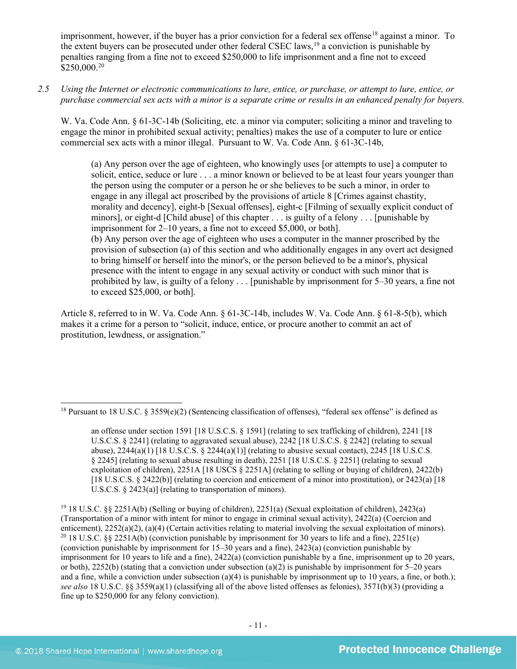imprisonment, however, if the buyer has a prior conviction for a federal sex offense<sup>[18](#page-10-0)</sup> against a minor. To the extent buyers can be prosecuted under other federal CSEC laws,<sup>[19](#page-10-1)</sup> a conviction is punishable by penalties ranging from a fine not to exceed \$250,000 to life imprisonment and a fine not to exceed \$250,000.[20](#page-10-2)

*2.5 Using the Internet or electronic communications to lure, entice, or purchase, or attempt to lure, entice, or purchase commercial sex acts with a minor is a separate crime or results in an enhanced penalty for buyers.*

W. Va. Code Ann. § 61-3C-14b (Soliciting, etc. a minor via computer; soliciting a minor and traveling to engage the minor in prohibited sexual activity; penalties) makes the use of a computer to lure or entice commercial sex acts with a minor illegal. Pursuant to W. Va. Code Ann. § 61-3C-14b,

<span id="page-10-3"></span>(a) Any person over the age of eighteen, who knowingly uses [or attempts to use] a computer to solicit, entice, seduce or lure . . . a minor known or believed to be at least four years younger than the person using the computer or a person he or she believes to be such a minor, in order to engage in any illegal act proscribed by the provisions of article 8 [Crimes against chastity, morality and decency], eight-b [Sexual offenses], eight-c [Filming of sexually explicit conduct of minors], or eight-d [Child abuse] of this chapter . . . is guilty of a felony . . . [punishable by imprisonment for 2–10 years, a fine not to exceed \$5,000, or both]. (b) Any person over the age of eighteen who uses a computer in the manner proscribed by the provision of subsection (a) of this section and who additionally engages in any overt act designed to bring himself or herself into the minor's, or the person believed to be a minor's, physical presence with the intent to engage in any sexual activity or conduct with such minor that is prohibited by law, is guilty of a felony . . . [punishable by imprisonment for 5–30 years, a fine not to exceed \$25,000, or both].

Article 8, referred to in W. Va. Code Ann. § 61-3C-14b, includes W. Va. Code Ann. § 61-8-5(b), which makes it a crime for a person to "solicit, induce, entice, or procure another to commit an act of prostitution, lewdness, or assignation."

<span id="page-10-0"></span><sup>&</sup>lt;sup>18</sup> Pursuant to 18 U.S.C. § 3559(e)(2) (Sentencing classification of offenses), "federal sex offense" is defined as

an offense under section 1591 [18 U.S.C.S. § 1591] (relating to sex trafficking of children), 2241 [18 U.S.C.S. § 2241] (relating to aggravated sexual abuse), 2242 [18 U.S.C.S. § 2242] (relating to sexual abuse),  $2244(a)(1)$  [18 U.S.C.S. §  $2244(a)(1)$ ] (relating to abusive sexual contact),  $2245$  [18 U.S.C.S. § 2245] (relating to sexual abuse resulting in death), 2251 [18 U.S.C.S. § 2251] (relating to sexual exploitation of children), 2251A [18 USCS § 2251A] (relating to selling or buying of children), 2422(b) [18 U.S.C.S. § 2422(b)] (relating to coercion and enticement of a minor into prostitution), or 2423(a) [18 U.S.C.S. § 2423(a)] (relating to transportation of minors).

<span id="page-10-2"></span><span id="page-10-1"></span><sup>19</sup> 18 U.S.C. §§ 2251A(b) (Selling or buying of children), 2251(a) (Sexual exploitation of children), 2423(a) (Transportation of a minor with intent for minor to engage in criminal sexual activity), 2422(a) (Coercion and enticement), 2252(a)(2), (a)(4) (Certain activities relating to material involving the sexual exploitation of minors). <sup>20</sup> 18 U.S.C. §§ 2251A(b) (conviction punishable by imprisonment for 30 years to life and a fine), 22 (conviction punishable by imprisonment for 15–30 years and a fine), 2423(a) (conviction punishable by imprisonment for 10 years to life and a fine), 2422(a) (conviction punishable by a fine, imprisonment up to 20 years, or both), 2252(b) (stating that a conviction under subsection (a)(2) is punishable by imprisonment for 5–20 years and a fine, while a conviction under subsection (a)(4) is punishable by imprisonment up to 10 years, a fine, or both.); *see also* 18 U.S.C. §§ 3559(a)(1) (classifying all of the above listed offenses as felonies), 3571(b)(3) (providing a fine up to \$250,000 for any felony conviction).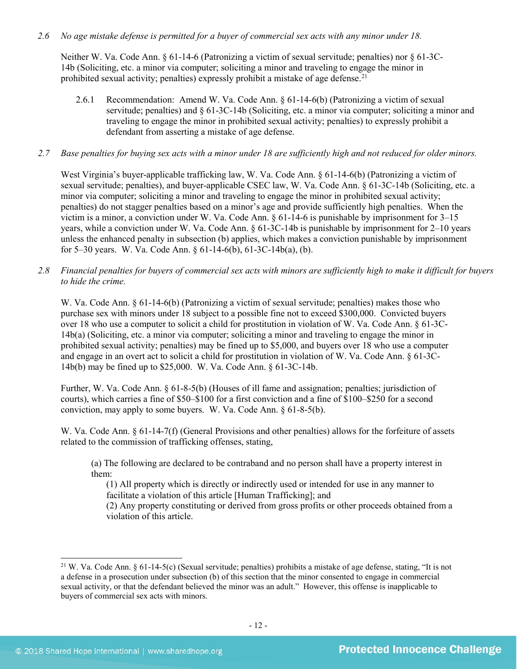### *2.6 No age mistake defense is permitted for a buyer of commercial sex acts with any minor under 18.*

Neither W. Va. Code Ann. § 61-14-6 (Patronizing a victim of sexual servitude; penalties) nor § 61-3C-14b (Soliciting, etc. a minor via computer; soliciting a minor and traveling to engage the minor in prohibited sexual activity; penalties) expressly prohibit a mistake of age defense.<sup>[21](#page-11-0)</sup>

2.6.1 Recommendation: Amend W. Va. Code Ann. § 61-14-6(b) (Patronizing a victim of sexual servitude; penalties) and § 61-3C-14b (Soliciting, etc. a minor via computer; soliciting a minor and traveling to engage the minor in prohibited sexual activity; penalties) to expressly prohibit a defendant from asserting a mistake of age defense.

# *2.7 Base penalties for buying sex acts with a minor under 18 are sufficiently high and not reduced for older minors.*

West Virginia's buyer-applicable trafficking law, W. Va. Code Ann. § 61-14-6(b) (Patronizing a victim of sexual servitude; penalties), and buyer-applicable CSEC law, W. Va. Code Ann. § 61-3C-14b (Soliciting, etc. a minor via computer; soliciting a minor and traveling to engage the minor in prohibited sexual activity; penalties) do not stagger penalties based on a minor's age and provide sufficiently high penalties. When the victim is a minor, a conviction under W. Va. Code Ann. § 61-14-6 is punishable by imprisonment for 3–15 years, while a conviction under W. Va. Code Ann. § 61-3C-14b is punishable by imprisonment for 2–10 years unless the enhanced penalty in subsection (b) applies, which makes a conviction punishable by imprisonment for 5–30 years. W. Va. Code Ann. § 61-14-6(b), 61-3C-14b(a), (b).

*2.8 Financial penalties for buyers of commercial sex acts with minors are sufficiently high to make it difficult for buyers to hide the crime.*

W. Va. Code Ann. § 61-14-6(b) (Patronizing a victim of sexual servitude; penalties) makes those who purchase sex with minors under 18 subject to a possible fine not to exceed \$300,000. Convicted buyers over 18 who use a computer to solicit a child for prostitution in violation of W. Va. Code Ann. § 61-3C-14b(a) (Soliciting, etc. a minor via computer; soliciting a minor and traveling to engage the minor in prohibited sexual activity; penalties) may be fined up to \$5,000, and buyers over 18 who use a computer and engage in an overt act to solicit a child for prostitution in violation of W. Va. Code Ann. § 61-3C-14b(b) may be fined up to \$25,000. W. Va. Code Ann. § 61-3C-14b.

Further, W. Va. Code Ann. § 61-8-5(b) (Houses of ill fame and assignation; penalties; jurisdiction of courts), which carries a fine of \$50–\$100 for a first conviction and a fine of \$100–\$250 for a second conviction, may apply to some buyers. W. Va. Code Ann. § 61-8-5(b).

W. Va. Code Ann. § 61-14-7(f) (General Provisions and other penalties) allows for the forfeiture of assets related to the commission of trafficking offenses, stating,

(a) The following are declared to be contraband and no person shall have a property interest in them:

(1) All property which is directly or indirectly used or intended for use in any manner to facilitate a violation of this article [Human Trafficking]; and

(2) Any property constituting or derived from gross profits or other proceeds obtained from a violation of this article.

<span id="page-11-0"></span><sup>&</sup>lt;sup>21</sup> W. Va. Code Ann. § 61-14-5(c) (Sexual servitude; penalties) prohibits a mistake of age defense, stating, "It is not a defense in a prosecution under subsection (b) of this section that the minor consented to engage in commercial sexual activity, or that the defendant believed the minor was an adult." However, this offense is inapplicable to buyers of commercial sex acts with minors.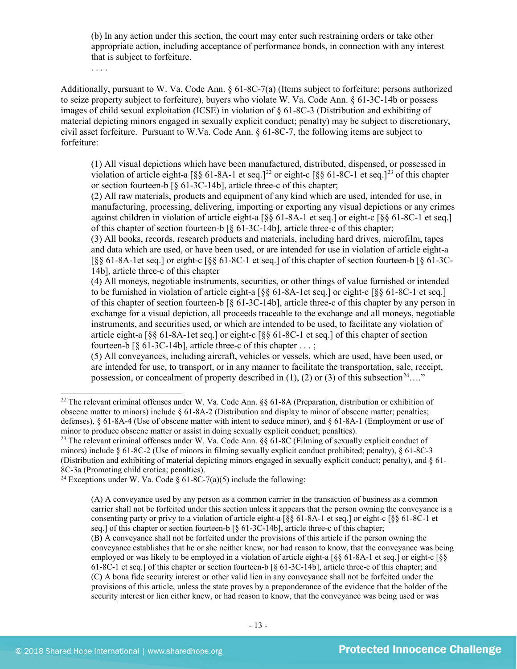(b) In any action under this section, the court may enter such restraining orders or take other appropriate action, including acceptance of performance bonds, in connection with any interest that is subject to forfeiture.

. . . .

Additionally, pursuant to W. Va. Code Ann. § 61-8C-7(a) (Items subject to forfeiture; persons authorized to seize property subject to forfeiture), buyers who violate W. Va. Code Ann. § 61-3C-14b or possess images of child sexual exploitation (ICSE) in violation of § 61-8C-3 (Distribution and exhibiting of material depicting minors engaged in sexually explicit conduct; penalty) may be subject to discretionary, civil asset forfeiture. Pursuant to W.Va. Code Ann. § 61-8C-7, the following items are subject to forfeiture:

<span id="page-12-4"></span><span id="page-12-3"></span>(1) All visual depictions which have been manufactured, distributed, dispensed, or possessed in violation of article eight-a  $\lceil \S \S 61-8A-1 \rangle$  et seq.]<sup>[22](#page-12-0)</sup> or eight-c  $\lceil \S \S 61-8C-1 \rangle$  et seq.]<sup>[23](#page-12-1)</sup> of this chapter or section fourteen-b [§ 61-3C-14b], article three-c of this chapter;

(2) All raw materials, products and equipment of any kind which are used, intended for use, in manufacturing, processing, delivering, importing or exporting any visual depictions or any crimes against children in violation of article eight-a [§§ 61-8A-1 et seq.] or eight-c [§§ 61-8C-1 et seq.] of this chapter of section fourteen-b [§ 61-3C-14b], article three-c of this chapter;

(3) All books, records, research products and materials, including hard drives, microfilm, tapes and data which are used, or have been used, or are intended for use in violation of article eight-a [§§ 61-8A-1et seq.] or eight-c [§§ 61-8C-1 et seq.] of this chapter of section fourteen-b [§ 61-3C-14b], article three-c of this chapter

(4) All moneys, negotiable instruments, securities, or other things of value furnished or intended to be furnished in violation of article eight-a [§§ 61-8A-1et seq.] or eight-c [§§ 61-8C-1 et seq.] of this chapter of section fourteen-b [§ 61-3C-14b], article three-c of this chapter by any person in exchange for a visual depiction, all proceeds traceable to the exchange and all moneys, negotiable instruments, and securities used, or which are intended to be used, to facilitate any violation of article eight-a [§§ 61-8A-1et seq.] or eight-c [§§ 61-8C-1 et seq.] of this chapter of section fourteen-b [§ 61-3C-14b], article three-c of this chapter . . . ;

<span id="page-12-5"></span>(5) All conveyances, including aircraft, vehicles or vessels, which are used, have been used, or are intended for use, to transport, or in any manner to facilitate the transportation, sale, receipt, possession, or concealment of property described in (1), (2) or (3) of this subsection<sup>24</sup>…."

<span id="page-12-0"></span> <sup>22</sup> The relevant criminal offenses under W. Va. Code Ann. §§ 61-8A (Preparation, distribution or exhibition of obscene matter to minors) include § 61-8A-2 (Distribution and display to minor of obscene matter; penalties; defenses), § 61-8A-4 (Use of obscene matter with intent to seduce minor), and § 61-8A-1 (Employment or use of minor to produce obscene matter or assist in doing sexually explicit conduct; penalties).

<span id="page-12-1"></span><sup>23</sup> The relevant criminal offenses under W. Va. Code Ann. §§ 61-8C (Filming of sexually explicit conduct of minors) include § 61-8C-2 (Use of minors in filming sexually explicit conduct prohibited; penalty), § 61-8C-3 (Distribution and exhibiting of material depicting minors engaged in sexually explicit conduct; penalty), and § 61- 8C-3a (Promoting child erotica; penalties).<br><sup>24</sup> Exceptions under W. Va. Code § 61-8C-7(a)(5) include the following:

<span id="page-12-2"></span>

<sup>(</sup>A) A conveyance used by any person as a common carrier in the transaction of business as a common carrier shall not be forfeited under this section unless it appears that the person owning the conveyance is a consenting party or privy to a violation of article eight-a [§§ 61-8A-1 et seq.] or eight-c [§§ 61-8C-1 et seq.] of this chapter or section fourteen-b  $\lceil \xi \cdot 61 - 3C - 14b \rceil$ , article three-c of this chapter; (B**)** A conveyance shall not be forfeited under the provisions of this article if the person owning the conveyance establishes that he or she neither knew, nor had reason to know, that the conveyance was being employed or was likely to be employed in a violation of article eight-a [§§ 61-8A-1 et seq.] or eight-c [§§ 61-8C-1 et seq.] of this chapter or section fourteen-b [§ 61-3C-14b], article three-c of this chapter; and (C**)** A bona fide security interest or other valid lien in any conveyance shall not be forfeited under the provisions of this article, unless the state proves by a preponderance of the evidence that the holder of the security interest or lien either knew, or had reason to know, that the conveyance was being used or was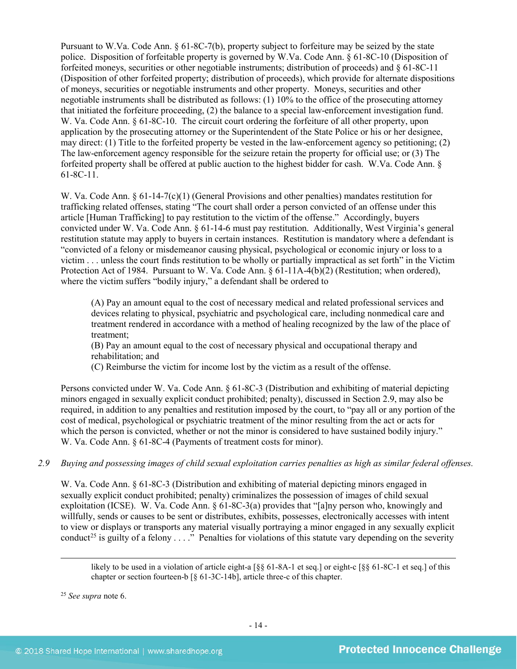Pursuant to W.Va. Code Ann. § 61-8C-7(b), property subject to forfeiture may be seized by the state police. Disposition of forfeitable property is governed by W.Va. Code Ann. § 61-8C-10 (Disposition of forfeited moneys, securities or other negotiable instruments; distribution of proceeds) and § 61-8C-11 (Disposition of other forfeited property; distribution of proceeds), which provide for alternate dispositions of moneys, securities or negotiable instruments and other property. Moneys, securities and other negotiable instruments shall be distributed as follows: (1) 10% to the office of the prosecuting attorney that initiated the forfeiture proceeding, (2) the balance to a special law-enforcement investigation fund. W. Va. Code Ann. § 61-8C-10. The circuit court ordering the forfeiture of all other property, upon application by the prosecuting attorney or the Superintendent of the State Police or his or her designee, may direct: (1) Title to the forfeited property be vested in the law-enforcement agency so petitioning; (2) The law-enforcement agency responsible for the seizure retain the property for official use; or (3) The forfeited property shall be offered at public auction to the highest bidder for cash. W.Va. Code Ann. § 61-8C-11.

W. Va. Code Ann. § 61-14-7(c)(1) (General Provisions and other penalties) mandates restitution for trafficking related offenses, stating "The court shall order a person convicted of an offense under this article [Human Trafficking] to pay restitution to the victim of the offense." Accordingly, buyers convicted under W. Va. Code Ann. § 61-14-6 must pay restitution. Additionally, West Virginia's general restitution statute may apply to buyers in certain instances. Restitution is mandatory where a defendant is "convicted of a felony or misdemeanor causing physical, psychological or economic injury or loss to a victim . . . unless the court finds restitution to be wholly or partially impractical as set forth" in the Victim Protection Act of 1984. Pursuant to W. Va. Code Ann. § 61-11A-4(b)(2) (Restitution; when ordered), where the victim suffers "bodily injury," a defendant shall be ordered to

(A) Pay an amount equal to the cost of necessary medical and related professional services and devices relating to physical, psychiatric and psychological care, including nonmedical care and treatment rendered in accordance with a method of healing recognized by the law of the place of treatment;

(B) Pay an amount equal to the cost of necessary physical and occupational therapy and rehabilitation; and

(C) Reimburse the victim for income lost by the victim as a result of the offense.

Persons convicted under W. Va. Code Ann. § 61-8C-3 (Distribution and exhibiting of material depicting minors engaged in sexually explicit conduct prohibited; penalty), discussed in Section 2.9, may also be required, in addition to any penalties and restitution imposed by the court, to "pay all or any portion of the cost of medical, psychological or psychiatric treatment of the minor resulting from the act or acts for which the person is convicted, whether or not the minor is considered to have sustained bodily injury." W. Va. Code Ann. § 61-8C-4 (Payments of treatment costs for minor).

### *2.9 Buying and possessing images of child sexual exploitation carries penalties as high as similar federal offenses.*

W. Va. Code Ann. § 61-8C-3 (Distribution and exhibiting of material depicting minors engaged in sexually explicit conduct prohibited; penalty) criminalizes the possession of images of child sexual exploitation (ICSE). W. Va. Code Ann. § 61-8C-3(a) provides that "[a]ny person who, knowingly and willfully, sends or causes to be sent or distributes, exhibits, possesses, electronically accesses with intent to view or displays or transports any material visually portraying a minor engaged in any sexually explicit conduct<sup>[25](#page-13-0)</sup> is guilty of a felony  $\ldots$ ." Penalties for violations of this statute vary depending on the severity

likely to be used in a violation of article eight-a [§§ 61-8A-1 et seq.] or eight-c [§§ 61-8C-1 et seq.] of this chapter or section fourteen-b [§ 61-3C-14b], article three-c of this chapter.

<span id="page-13-0"></span><sup>25</sup> *See supra* note [6.](#page-2-4)

 $\overline{a}$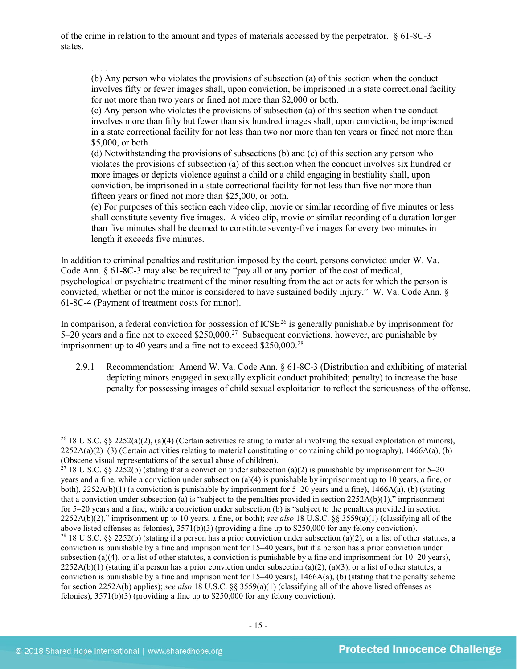of the crime in relation to the amount and types of materials accessed by the perpetrator. § 61-8C-3 states,

#### . . . .

(b) Any person who violates the provisions of subsection (a) of this section when the conduct involves fifty or fewer images shall, upon conviction, be imprisoned in a state correctional facility for not more than two years or fined not more than \$2,000 or both.

(c) Any person who violates the provisions of subsection (a) of this section when the conduct involves more than fifty but fewer than six hundred images shall, upon conviction, be imprisoned in a state correctional facility for not less than two nor more than ten years or fined not more than \$5,000, or both.

(d) Notwithstanding the provisions of subsections (b) and (c) of this section any person who violates the provisions of subsection (a) of this section when the conduct involves six hundred or more images or depicts violence against a child or a child engaging in bestiality shall, upon conviction, be imprisoned in a state correctional facility for not less than five nor more than fifteen years or fined not more than \$25,000, or both.

(e) For purposes of this section each video clip, movie or similar recording of five minutes or less shall constitute seventy five images. A video clip, movie or similar recording of a duration longer than five minutes shall be deemed to constitute seventy-five images for every two minutes in length it exceeds five minutes.

In addition to criminal penalties and restitution imposed by the court, persons convicted under W. Va. Code Ann. § 61-8C-3 may also be required to "pay all or any portion of the cost of medical, psychological or psychiatric treatment of the minor resulting from the act or acts for which the person is convicted, whether or not the minor is considered to have sustained bodily injury." W. Va. Code Ann. § 61-8C-4 (Payment of treatment costs for minor).

In comparison, a federal conviction for possession of ICSE<sup>[26](#page-14-0)</sup> is generally punishable by imprisonment for 5–20 years and a fine not to exceed \$250,000.[27](#page-14-1) Subsequent convictions, however, are punishable by imprisonment up to 40 years and a fine not to exceed  $$250,000.<sup>28</sup>$  $$250,000.<sup>28</sup>$  $$250,000.<sup>28</sup>$ 

2.9.1 Recommendation: Amend W. Va. Code Ann. § 61-8C-3 (Distribution and exhibiting of material depicting minors engaged in sexually explicit conduct prohibited; penalty) to increase the base penalty for possessing images of child sexual exploitation to reflect the seriousness of the offense.

<span id="page-14-0"></span><sup>&</sup>lt;sup>26</sup> 18 U.S.C. §§ 2252(a)(2), (a)(4) (Certain activities relating to material involving the sexual exploitation of minors),  $2252A(a)(2)$ –(3) (Certain activities relating to material constituting or containing child pornography), 1466A(a), (b) (Obscene visual representations of the sexual abuse of children).

<span id="page-14-2"></span><span id="page-14-1"></span><sup>&</sup>lt;sup>27</sup> 18 U.S.C. §§ 2252(b) (stating that a conviction under subsection (a)(2) is punishable by imprisonment for 5–20 years and a fine, while a conviction under subsection (a)(4) is punishable by imprisonment up to 10 years, a fine, or both),  $2252A(b)(1)$  (a conviction is punishable by imprisonment for 5–20 years and a fine),  $1466A(a)$ , (b) (stating that a conviction under subsection (a) is "subject to the penalties provided in section  $2252A(b)(1)$ ," imprisonment for 5–20 years and a fine, while a conviction under subsection (b) is "subject to the penalties provided in section 2252A(b)(2)," imprisonment up to 10 years, a fine, or both); *see also* 18 U.S.C. §§ 3559(a)(1) (classifying all of the above listed offenses as felonies), 3571(b)(3) (providing a fine up to \$250,000 for any felony conviction). <sup>28</sup> 18 U.S.C. §§ 2252(b) (stating if a person has a prior conviction under subsection (a)(2), or a list of other statutes, a conviction is punishable by a fine and imprisonment for 15–40 years, but if a person has a prior conviction under subsection (a)(4), or a list of other statutes, a conviction is punishable by a fine and imprisonment for  $10-20$  years),  $2252A(b)(1)$  (stating if a person has a prior conviction under subsection (a)(2), (a)(3), or a list of other statutes, a conviction is punishable by a fine and imprisonment for  $15-40$  years),  $1466A(a)$ , (b) (stating that the penalty scheme for section 2252A(b) applies); *see also* 18 U.S.C. §§ 3559(a)(1) (classifying all of the above listed offenses as felonies), 3571(b)(3) (providing a fine up to \$250,000 for any felony conviction).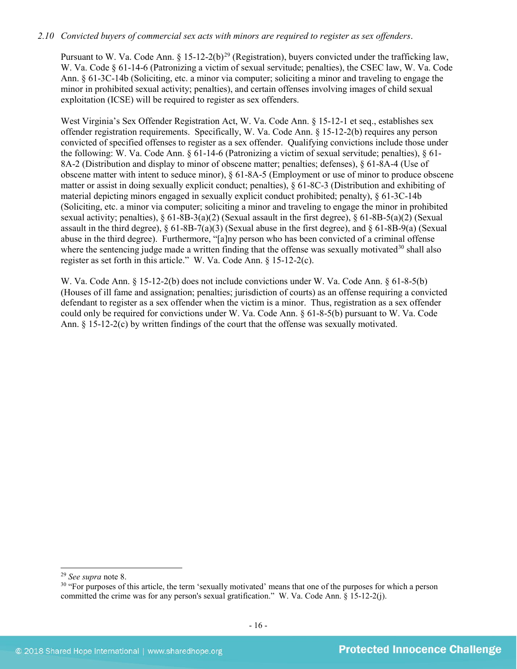#### *2.10 Convicted buyers of commercial sex acts with minors are required to register as sex offenders*.

Pursuant to W. Va. Code Ann.  $\S 15$ -12-2(b)<sup>[29](#page-15-0)</sup> (Registration), buyers convicted under the trafficking law, W. Va. Code § 61-14-6 (Patronizing a victim of sexual servitude; penalties), the CSEC law, W. Va. Code Ann. § 61-3C-14b (Soliciting, etc. a minor via computer; soliciting a minor and traveling to engage the minor in prohibited sexual activity; penalties), and certain offenses involving images of child sexual exploitation (ICSE) will be required to register as sex offenders.

West Virginia's Sex Offender Registration Act, W. Va. Code Ann. § 15-12-1 et seq., establishes sex offender registration requirements. Specifically, W. Va. Code Ann. § 15-12-2(b) requires any person convicted of specified offenses to register as a sex offender. Qualifying convictions include those under the following: W. Va. Code Ann. § 61-14-6 (Patronizing a victim of sexual servitude; penalties), § 61- 8A-2 (Distribution and display to minor of obscene matter; penalties; defenses), § 61-8A-4 (Use of obscene matter with intent to seduce minor), § 61-8A-5 (Employment or use of minor to produce obscene matter or assist in doing sexually explicit conduct; penalties), § 61-8C-3 (Distribution and exhibiting of material depicting minors engaged in sexually explicit conduct prohibited; penalty), § 61-3C-14b (Soliciting, etc. a minor via computer; soliciting a minor and traveling to engage the minor in prohibited sexual activity; penalties), § 61-8B-3(a)(2) (Sexual assault in the first degree), § 61-8B-5(a)(2) (Sexual assault in the third degree),  $\S$  61-8B-7(a)(3) (Sexual abuse in the first degree), and  $\S$  61-8B-9(a) (Sexual abuse in the third degree). Furthermore, "[a]ny person who has been convicted of a criminal offense where the sentencing judge made a written finding that the offense was sexually motivated $30$  shall also register as set forth in this article." W. Va. Code Ann. § 15-12-2(c).

W. Va. Code Ann. § 15-12-2(b) does not include convictions under W. Va. Code Ann. § 61-8-5(b) (Houses of ill fame and assignation; penalties; jurisdiction of courts) as an offense requiring a convicted defendant to register as a sex offender when the victim is a minor. Thus, registration as a sex offender could only be required for convictions under W. Va. Code Ann. § 61-8-5(b) pursuant to W. Va. Code Ann. § 15-12-2(c) by written findings of the court that the offense was sexually motivated.

<span id="page-15-0"></span> <sup>29</sup> *See supra* note [8.](#page-3-1)

<span id="page-15-1"></span><sup>&</sup>lt;sup>30</sup> "For purposes of this article, the term 'sexually motivated' means that one of the purposes for which a person committed the crime was for any person's sexual gratification." W. Va. Code Ann. § 15-12-2(j).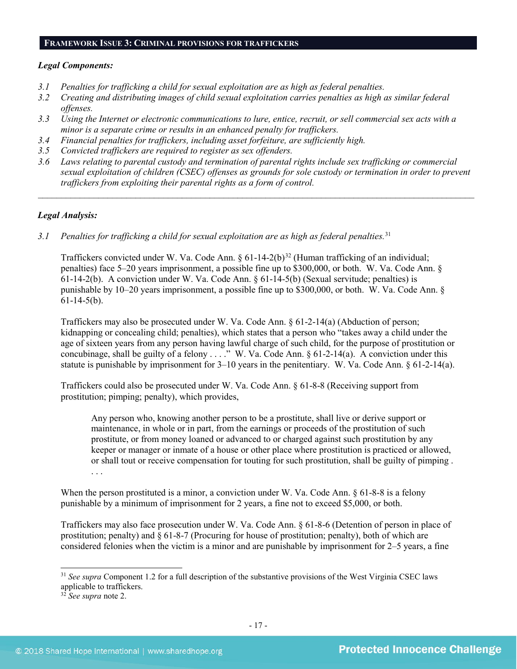#### **FRAMEWORK ISSUE 3: CRIMINAL PROVISIONS FOR TRAFFICKERS**

#### *Legal Components:*

- *3.1 Penalties for trafficking a child for sexual exploitation are as high as federal penalties.*
- *3.2 Creating and distributing images of child sexual exploitation carries penalties as high as similar federal offenses.*
- *3.3 Using the Internet or electronic communications to lure, entice, recruit, or sell commercial sex acts with a minor is a separate crime or results in an enhanced penalty for traffickers.*
- *3.4 Financial penalties for traffickers, including asset forfeiture, are sufficiently high.*
- *3.5 Convicted traffickers are required to register as sex offenders.*
- *3.6 Laws relating to parental custody and termination of parental rights include sex trafficking or commercial sexual exploitation of children (CSEC) offenses as grounds for sole custody or termination in order to prevent traffickers from exploiting their parental rights as a form of control.*

*\_\_\_\_\_\_\_\_\_\_\_\_\_\_\_\_\_\_\_\_\_\_\_\_\_\_\_\_\_\_\_\_\_\_\_\_\_\_\_\_\_\_\_\_\_\_\_\_\_\_\_\_\_\_\_\_\_\_\_\_\_\_\_\_\_\_\_\_\_\_\_\_\_\_\_\_\_\_\_\_\_\_\_\_\_\_\_\_\_\_\_\_\_\_*

### *Legal Analysis:*

*3.1 Penalties for trafficking a child for sexual exploitation are as high as federal penalties.*[31](#page-16-0)

Traffickers convicted under W. Va. Code Ann. § 61-14-2(b)<sup>[32](#page-16-1)</sup> (Human trafficking of an individual; penalties) face 5–20 years imprisonment, a possible fine up to \$300,000, or both. W. Va. Code Ann. § 61-14-2(b). A conviction under W. Va. Code Ann. § 61-14-5(b) (Sexual servitude; penalties) is punishable by 10–20 years imprisonment, a possible fine up to \$300,000, or both. W. Va. Code Ann. §  $61-14-5(b)$ .

Traffickers may also be prosecuted under W. Va. Code Ann. § 61-2-14(a) (Abduction of person; kidnapping or concealing child; penalties), which states that a person who "takes away a child under the age of sixteen years from any person having lawful charge of such child, for the purpose of prostitution or concubinage, shall be guilty of a felony . . . ." W. Va. Code Ann. § 61-2-14(a). A conviction under this statute is punishable by imprisonment for  $3-10$  years in the penitentiary. W. Va. Code Ann. § 61-2-14(a).

Traffickers could also be prosecuted under W. Va. Code Ann. § 61-8-8 (Receiving support from prostitution; pimping; penalty), which provides,

Any person who, knowing another person to be a prostitute, shall live or derive support or maintenance, in whole or in part, from the earnings or proceeds of the prostitution of such prostitute, or from money loaned or advanced to or charged against such prostitution by any keeper or manager or inmate of a house or other place where prostitution is practiced or allowed, or shall tout or receive compensation for touting for such prostitution, shall be guilty of pimping . . . .

When the person prostituted is a minor, a conviction under W. Va. Code Ann.  $\S 61-8-8$  is a felony punishable by a minimum of imprisonment for 2 years, a fine not to exceed \$5,000, or both.

Traffickers may also face prosecution under W. Va. Code Ann. § 61-8-6 (Detention of person in place of prostitution; penalty) and § 61-8-7 (Procuring for house of prostitution; penalty), both of which are considered felonies when the victim is a minor and are punishable by imprisonment for 2–5 years, a fine

<span id="page-16-0"></span><sup>&</sup>lt;sup>31</sup> See supra Component [1.2](#page-1-1) for a full description of the substantive provisions of the West Virginia CSEC laws applicable to traffickers.

<span id="page-16-1"></span><sup>32</sup> *See supra* note 2.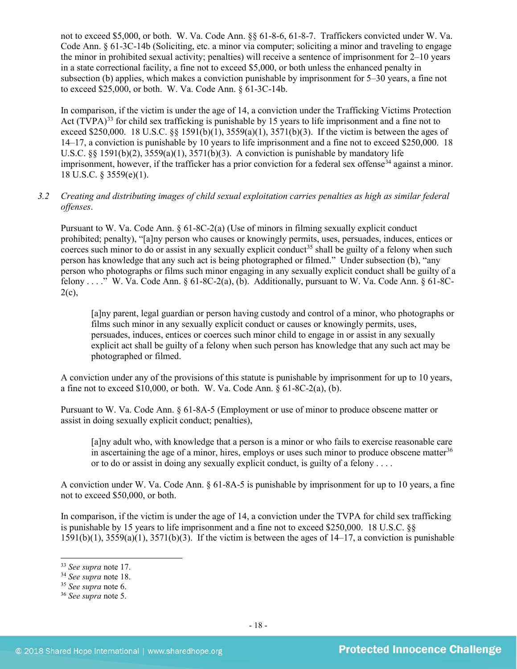not to exceed \$5,000, or both. W. Va. Code Ann. §§ 61-8-6, 61-8-7. Traffickers convicted under W. Va. Code Ann. § 61-3C-14b (Soliciting, etc. a minor via computer; soliciting a minor and traveling to engage the minor in prohibited sexual activity; penalties) will receive a sentence of imprisonment for 2–10 years in a state correctional facility, a fine not to exceed \$5,000, or both unless the enhanced penalty in subsection (b) applies, which makes a conviction punishable by imprisonment for 5–30 years, a fine not to exceed \$25,000, or both. W. Va. Code Ann. § 61-3C-14b.

In comparison, if the victim is under the age of 14, a conviction under the Trafficking Victims Protection Act (TVPA)<sup>[33](#page-17-0)</sup> for child sex trafficking is punishable by 15 years to life imprisonment and a fine not to exceed \$250,000. 18 U.S.C. §§ 1591(b)(1), 3559(a)(1), 3571(b)(3). If the victim is between the ages of 14–17, a conviction is punishable by 10 years to life imprisonment and a fine not to exceed \$250,000. 18 U.S.C.  $\S$ § 1591(b)(2),  $3559(a)(1)$ ,  $3571(b)(3)$ . A conviction is punishable by mandatory life imprisonment, however, if the trafficker has a prior conviction for a federal sex offense<sup>34</sup> against a minor. 18 U.S.C. § 3559(e)(1).

# *3.2 Creating and distributing images of child sexual exploitation carries penalties as high as similar federal offenses*.

Pursuant to W. Va. Code Ann. § 61-8C-2(a) (Use of minors in filming sexually explicit conduct prohibited; penalty), "[a]ny person who causes or knowingly permits, uses, persuades, induces, entices or coerces such minor to do or assist in any sexually explicit conduct<sup>[35](#page-17-2)</sup> shall be guilty of a felony when such person has knowledge that any such act is being photographed or filmed." Under subsection (b), "any person who photographs or films such minor engaging in any sexually explicit conduct shall be guilty of a felony . . . . " W. Va. Code Ann.  $\S 61-8C-2(a)$ , (b). Additionally, pursuant to W. Va. Code Ann.  $\S 61-8C 2(c)$ ,

[a]ny parent, legal guardian or person having custody and control of a minor, who photographs or films such minor in any sexually explicit conduct or causes or knowingly permits, uses, persuades, induces, entices or coerces such minor child to engage in or assist in any sexually explicit act shall be guilty of a felony when such person has knowledge that any such act may be photographed or filmed.

A conviction under any of the provisions of this statute is punishable by imprisonment for up to 10 years, a fine not to exceed  $$10,000$ , or both. W. Va. Code Ann.  $§ 61-8C-2(a)$ , (b).

Pursuant to W. Va. Code Ann. § 61-8A-5 (Employment or use of minor to produce obscene matter or assist in doing sexually explicit conduct; penalties),

[a]ny adult who, with knowledge that a person is a minor or who fails to exercise reasonable care in ascertaining the age of a minor, hires, employs or uses such minor to produce obscene matter<sup>[36](#page-17-3)</sup> or to do or assist in doing any sexually explicit conduct, is guilty of a felony . . . .

A conviction under W. Va. Code Ann. § 61-8A-5 is punishable by imprisonment for up to 10 years, a fine not to exceed \$50,000, or both.

In comparison, if the victim is under the age of 14, a conviction under the TVPA for child sex trafficking is punishable by 15 years to life imprisonment and a fine not to exceed \$250,000. 18 U.S.C. §§  $1591(b)(1)$ ,  $3559(a)(1)$ ,  $3571(b)(3)$ . If the victim is between the ages of  $14-17$ , a conviction is punishable

<span id="page-17-0"></span>

<sup>33</sup> *See supra* note [17.](#page-9-2) 34 *See supra* note [18.](#page-10-3) 35 *See supra* note [6.](#page-2-4)

<span id="page-17-2"></span><span id="page-17-1"></span>

<span id="page-17-3"></span><sup>36</sup> *See supra* note [5.](#page-2-5)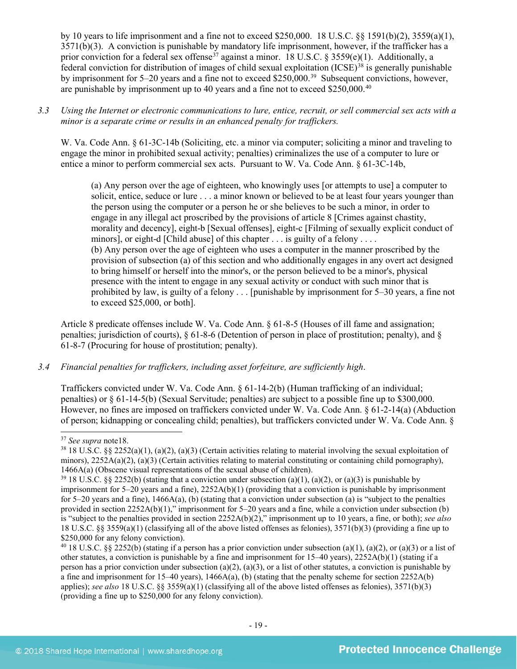by 10 years to life imprisonment and a fine not to exceed \$250,000. 18 U.S.C.  $\&$  1591(b)(2), 3559(a)(1), 3571(b)(3). A conviction is punishable by mandatory life imprisonment, however, if the trafficker has a prior conviction for a federal sex offense<sup>[37](#page-18-0)</sup> against a minor. 18 U.S.C. § 3559(e)(1). Additionally, a federal conviction for distribution of images of child sexual exploitation  $(ICSE)^{38}$  $(ICSE)^{38}$  $(ICSE)^{38}$  is generally punishable by imprisonment for 5–20 years and a fine not to exceed \$250,000.<sup>39</sup> Subsequent convictions, however, are punishable by imprisonment up to 40 years and a fine not to exceed \$250,000.[40](#page-18-3)

### *3.3 Using the Internet or electronic communications to lure, entice, recruit, or sell commercial sex acts with a minor is a separate crime or results in an enhanced penalty for traffickers.*

W. Va. Code Ann. § 61-3C-14b (Soliciting, etc. a minor via computer; soliciting a minor and traveling to engage the minor in prohibited sexual activity; penalties) criminalizes the use of a computer to lure or entice a minor to perform commercial sex acts. Pursuant to W. Va. Code Ann. § 61-3C-14b,

(a) Any person over the age of eighteen, who knowingly uses [or attempts to use] a computer to solicit, entice, seduce or lure . . . a minor known or believed to be at least four years younger than the person using the computer or a person he or she believes to be such a minor, in order to engage in any illegal act proscribed by the provisions of article 8 [Crimes against chastity, morality and decency], eight-b [Sexual offenses], eight-c [Filming of sexually explicit conduct of minors], or eight-d [Child abuse] of this chapter . . . is guilty of a felony . . . . (b) Any person over the age of eighteen who uses a computer in the manner proscribed by the provision of subsection (a) of this section and who additionally engages in any overt act designed to bring himself or herself into the minor's, or the person believed to be a minor's, physical presence with the intent to engage in any sexual activity or conduct with such minor that is prohibited by law, is guilty of a felony . . . [punishable by imprisonment for 5–30 years, a fine not to exceed \$25,000, or both].

Article 8 predicate offenses include W. Va. Code Ann. § 61-8-5 (Houses of ill fame and assignation; penalties; jurisdiction of courts), § 61-8-6 (Detention of person in place of prostitution; penalty), and § 61-8-7 (Procuring for house of prostitution; penalty).

# *3.4 Financial penalties for traffickers, including asset forfeiture, are sufficiently high*.

Traffickers convicted under W. Va. Code Ann. § 61-14-2(b) (Human trafficking of an individual; penalties) or § 61-14-5(b) (Sexual Servitude; penalties) are subject to a possible fine up to \$300,000. However, no fines are imposed on traffickers convicted under W. Va. Code Ann. § 61-2-14(a) (Abduction of person; kidnapping or concealing child; penalties), but traffickers convicted under W. Va. Code Ann. §

<span id="page-18-0"></span> <sup>37</sup> *See supra* not[e18.](#page-10-3)

<span id="page-18-1"></span> $38\,18$  U.S.C. §§ 2252(a)(1), (a)(2), (a)(3) (Certain activities relating to material involving the sexual exploitation of minors),  $2252A(a)(2)$ , (a)(3) (Certain activities relating to material constituting or containing child pornography), 1466A(a) (Obscene visual representations of the sexual abuse of children).<br><sup>39</sup> 18 U.S.C. §§ 2252(b) (stating that a conviction under subsection (a)(1), (a)(2), or (a)(3) is punishable by

<span id="page-18-2"></span>imprisonment for  $5-20$  years and a fine),  $2252A(b)(1)$  (providing that a conviction is punishable by imprisonment for 5–20 years and a fine),  $1466A(a)$ , (b) (stating that a conviction under subsection (a) is "subject to the penalties provided in section 2252A(b)(1)," imprisonment for 5–20 years and a fine, while a conviction under subsection (b) is "subject to the penalties provided in section 2252A(b)(2)," imprisonment up to 10 years, a fine, or both); *see also*  18 U.S.C. §§ 3559(a)(1) (classifying all of the above listed offenses as felonies), 3571(b)(3) (providing a fine up to \$250,000 for any felony conviction).

<span id="page-18-3"></span><sup>&</sup>lt;sup>40</sup> 18 U.S.C. §§ 2252(b) (stating if a person has a prior conviction under subsection (a)(1), (a)(2), or (a)(3) or a list of other statutes, a conviction is punishable by a fine and imprisonment for  $15-40$  years),  $2252A(b)(1)$  (stating if a person has a prior conviction under subsection (a)(2), (a)(3), or a list of other statutes, a conviction is punishable by a fine and imprisonment for 15–40 years),  $1466A(a)$ , (b) (stating that the penalty scheme for section 2252A(b) applies); *see also* 18 U.S.C. §§ 3559(a)(1) (classifying all of the above listed offenses as felonies), 3571(b)(3) (providing a fine up to \$250,000 for any felony conviction).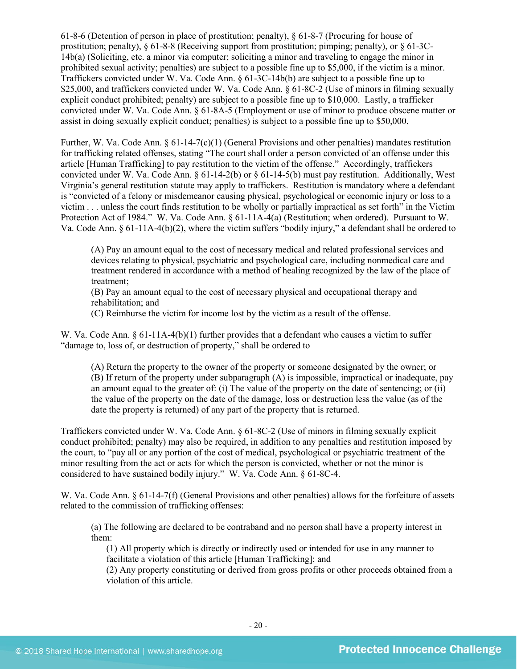61-8-6 (Detention of person in place of prostitution; penalty), § 61-8-7 (Procuring for house of prostitution; penalty), § 61-8-8 (Receiving support from prostitution; pimping; penalty), or § 61-3C-14b(a) (Soliciting, etc. a minor via computer; soliciting a minor and traveling to engage the minor in prohibited sexual activity; penalties) are subject to a possible fine up to \$5,000, if the victim is a minor. Traffickers convicted under W. Va. Code Ann. § 61-3C-14b(b) are subject to a possible fine up to \$25,000, and traffickers convicted under W. Va. Code Ann. § 61-8C-2 (Use of minors in filming sexually explicit conduct prohibited; penalty) are subject to a possible fine up to \$10,000. Lastly, a trafficker convicted under W. Va. Code Ann. § 61-8A-5 (Employment or use of minor to produce obscene matter or assist in doing sexually explicit conduct; penalties) is subject to a possible fine up to \$50,000.

Further, W. Va. Code Ann.  $\S 61-14-7(c)(1)$  (General Provisions and other penalties) mandates restitution for trafficking related offenses, stating "The court shall order a person convicted of an offense under this article [Human Trafficking] to pay restitution to the victim of the offense." Accordingly, traffickers convicted under W. Va. Code Ann. § 61-14-2(b) or § 61-14-5(b) must pay restitution. Additionally, West Virginia's general restitution statute may apply to traffickers. Restitution is mandatory where a defendant is "convicted of a felony or misdemeanor causing physical, psychological or economic injury or loss to a victim . . . unless the court finds restitution to be wholly or partially impractical as set forth" in the Victim Protection Act of 1984." W. Va. Code Ann. § 61-11A-4(a) (Restitution; when ordered). Pursuant to W. Va. Code Ann. § 61-11A-4(b)(2), where the victim suffers "bodily injury," a defendant shall be ordered to

(A) Pay an amount equal to the cost of necessary medical and related professional services and devices relating to physical, psychiatric and psychological care, including nonmedical care and treatment rendered in accordance with a method of healing recognized by the law of the place of treatment;

(B) Pay an amount equal to the cost of necessary physical and occupational therapy and rehabilitation; and

(C) Reimburse the victim for income lost by the victim as a result of the offense.

W. Va. Code Ann. § 61-11A-4(b)(1) further provides that a defendant who causes a victim to suffer "damage to, loss of, or destruction of property," shall be ordered to

(A) Return the property to the owner of the property or someone designated by the owner; or (B) If return of the property under subparagraph (A) is impossible, impractical or inadequate, pay an amount equal to the greater of: (i) The value of the property on the date of sentencing; or (ii) the value of the property on the date of the damage, loss or destruction less the value (as of the date the property is returned) of any part of the property that is returned.

Traffickers convicted under W. Va. Code Ann. § 61-8C-2 (Use of minors in filming sexually explicit conduct prohibited; penalty) may also be required, in addition to any penalties and restitution imposed by the court, to "pay all or any portion of the cost of medical, psychological or psychiatric treatment of the minor resulting from the act or acts for which the person is convicted, whether or not the minor is considered to have sustained bodily injury." W. Va. Code Ann. § 61-8C-4.

W. Va. Code Ann. § 61-14-7(f) (General Provisions and other penalties) allows for the forfeiture of assets related to the commission of trafficking offenses:

(a) The following are declared to be contraband and no person shall have a property interest in them:

(1) All property which is directly or indirectly used or intended for use in any manner to facilitate a violation of this article [Human Trafficking]; and

(2) Any property constituting or derived from gross profits or other proceeds obtained from a violation of this article.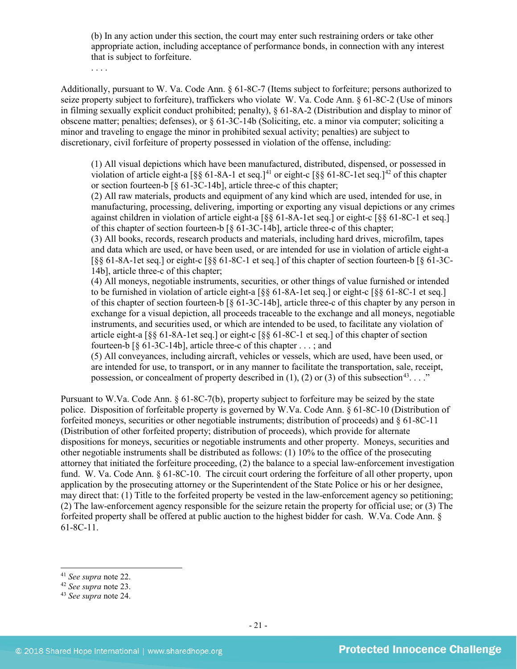(b) In any action under this section, the court may enter such restraining orders or take other appropriate action, including acceptance of performance bonds, in connection with any interest that is subject to forfeiture.

. . . .

Additionally, pursuant to W. Va. Code Ann. § 61-8C-7 (Items subject to forfeiture; persons authorized to seize property subject to forfeiture), traffickers who violate W. Va. Code Ann. § 61-8C-2 (Use of minors in filming sexually explicit conduct prohibited; penalty), § 61-8A-2 (Distribution and display to minor of obscene matter; penalties; defenses), or § 61-3C-14b (Soliciting, etc. a minor via computer; soliciting a minor and traveling to engage the minor in prohibited sexual activity; penalties) are subject to discretionary, civil forfeiture of property possessed in violation of the offense, including:

(1) All visual depictions which have been manufactured, distributed, dispensed, or possessed in violation of article eight-a  $\lceil \S \S 61-8A-1 \rceil$  et seq.]<sup>[41](#page-20-0)</sup> or eight-c  $\lceil \S \S 61-8C-1 \rceil$  et seq.]<sup>[42](#page-20-1)</sup> of this chapter or section fourteen-b [§ 61-3C-14b], article three-c of this chapter;

(2) All raw materials, products and equipment of any kind which are used, intended for use, in manufacturing, processing, delivering, importing or exporting any visual depictions or any crimes against children in violation of article eight-a [§§ 61-8A-1et seq.] or eight-c [§§ 61-8C-1 et seq.] of this chapter of section fourteen-b [§ 61-3C-14b], article three-c of this chapter;

(3) All books, records, research products and materials, including hard drives, microfilm, tapes and data which are used, or have been used, or are intended for use in violation of article eight-a [§§ 61-8A-1et seq.] or eight-c [§§ 61-8C-1 et seq.] of this chapter of section fourteen-b [§ 61-3C-14b], article three-c of this chapter;

(4) All moneys, negotiable instruments, securities, or other things of value furnished or intended to be furnished in violation of article eight-a [§§ 61-8A-1et seq.] or eight-c [§§ 61-8C-1 et seq.] of this chapter of section fourteen-b [§ 61-3C-14b], article three-c of this chapter by any person in exchange for a visual depiction, all proceeds traceable to the exchange and all moneys, negotiable instruments, and securities used, or which are intended to be used, to facilitate any violation of article eight-a [§§ 61-8A-1et seq.] or eight-c [§§ 61-8C-1 et seq.] of this chapter of section fourteen-b [§ 61-3C-14b], article three-c of this chapter . . . ; and

(5) All conveyances, including aircraft, vehicles or vessels, which are used, have been used, or are intended for use, to transport, or in any manner to facilitate the transportation, sale, receipt, possession, or concealment of property described in (1), (2) or (3) of this subsection<sup>43</sup>....."

Pursuant to W.Va. Code Ann. § 61-8C-7(b), property subject to forfeiture may be seized by the state police. Disposition of forfeitable property is governed by W.Va. Code Ann. § 61-8C-10 (Distribution of forfeited moneys, securities or other negotiable instruments; distribution of proceeds) and § 61-8C-11 (Distribution of other forfeited property; distribution of proceeds), which provide for alternate dispositions for moneys, securities or negotiable instruments and other property. Moneys, securities and other negotiable instruments shall be distributed as follows: (1) 10% to the office of the prosecuting attorney that initiated the forfeiture proceeding, (2) the balance to a special law-enforcement investigation fund. W. Va. Code Ann. § 61-8C-10. The circuit court ordering the forfeiture of all other property, upon application by the prosecuting attorney or the Superintendent of the State Police or his or her designee, may direct that: (1) Title to the forfeited property be vested in the law-enforcement agency so petitioning; (2) The law-enforcement agency responsible for the seizure retain the property for official use; or (3) The forfeited property shall be offered at public auction to the highest bidder for cash. W.Va. Code Ann. § 61-8C-11.

<span id="page-20-0"></span><sup>41</sup> *See supra* note [22.](#page-12-3) 42 *See supra* note [23.](#page-12-4)

<span id="page-20-1"></span>

<span id="page-20-2"></span><sup>43</sup> *See supra* note [24.](#page-12-5)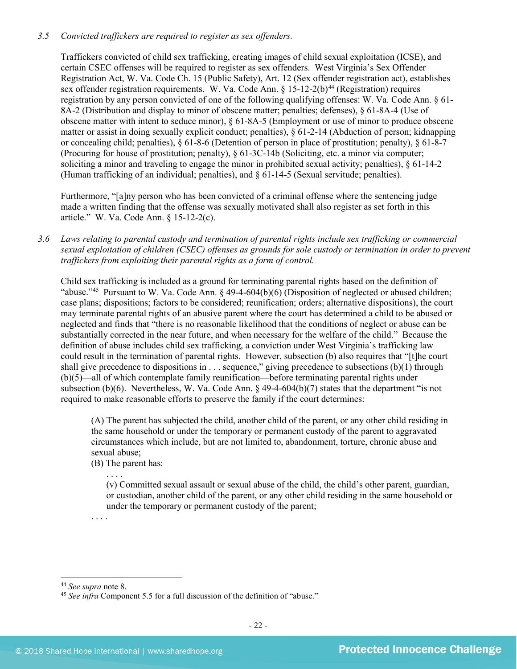# *3.5 Convicted traffickers are required to register as sex offenders.*

Traffickers convicted of child sex trafficking, creating images of child sexual exploitation (ICSE), and certain CSEC offenses will be required to register as sex offenders. West Virginia's Sex Offender Registration Act, W. Va. Code Ch. 15 (Public Safety), Art. 12 (Sex offender registration act), establishes sex offender registration requirements. W. Va. Code Ann.  $\S 15$ -12-2(b)<sup>[44](#page-21-0)</sup> (Registration) requires registration by any person convicted of one of the following qualifying offenses: W. Va. Code Ann. § 61- 8A-2 (Distribution and display to minor of obscene matter; penalties; defenses), § 61-8A-4 (Use of obscene matter with intent to seduce minor), § 61-8A-5 (Employment or use of minor to produce obscene matter or assist in doing sexually explicit conduct; penalties), § 61-2-14 (Abduction of person; kidnapping or concealing child; penalties), § 61-8-6 (Detention of person in place of prostitution; penalty), § 61-8-7 (Procuring for house of prostitution; penalty), § 61-3C-14b (Soliciting, etc. a minor via computer; soliciting a minor and traveling to engage the minor in prohibited sexual activity; penalties), § 61-14-2 (Human trafficking of an individual; penalties), and § 61-14-5 (Sexual servitude; penalties).

Furthermore, "[a]ny person who has been convicted of a criminal offense where the sentencing judge made a written finding that the offense was sexually motivated shall also register as set forth in this article." W. Va. Code Ann. § 15-12-2(c).

*3.6 Laws relating to parental custody and termination of parental rights include sex trafficking or commercial sexual exploitation of children (CSEC) offenses as grounds for sole custody or termination in order to prevent traffickers from exploiting their parental rights as a form of control.* 

Child sex trafficking is included as a ground for terminating parental rights based on the definition of "abuse."[45](#page-21-1) Pursuant to W. Va. Code Ann. § 49-4-604(b)(6) (Disposition of neglected or abused children; case plans; dispositions; factors to be considered; reunification; orders; alternative dispositions), the court may terminate parental rights of an abusive parent where the court has determined a child to be abused or neglected and finds that "there is no reasonable likelihood that the conditions of neglect or abuse can be substantially corrected in the near future, and when necessary for the welfare of the child." Because the definition of abuse includes child sex trafficking, a conviction under West Virginia's trafficking law could result in the termination of parental rights. However, subsection (b) also requires that "[t]he court shall give precedence to dispositions in . . . sequence," giving precedence to subsections (b)(1) through (b)(5)—all of which contemplate family reunification—before terminating parental rights under subsection (b)(6). Nevertheless, W. Va. Code Ann. § 49-4-604(b)(7) states that the department "is not required to make reasonable efforts to preserve the family if the court determines:

(A) The parent has subjected the child, another child of the parent, or any other child residing in the same household or under the temporary or permanent custody of the parent to aggravated circumstances which include, but are not limited to, abandonment, torture, chronic abuse and sexual abuse;

(B) The parent has:

. . . . (v) Committed sexual assault or sexual abuse of the child, the child's other parent, guardian, or custodian, another child of the parent, or any other child residing in the same household or under the temporary or permanent custody of the parent;

. . . .

<span id="page-21-0"></span> <sup>44</sup> *See supra* note [8.](#page-3-1)

<span id="page-21-1"></span><sup>45</sup> *See infra* Component 5.5 for a full discussion of the definition of "abuse."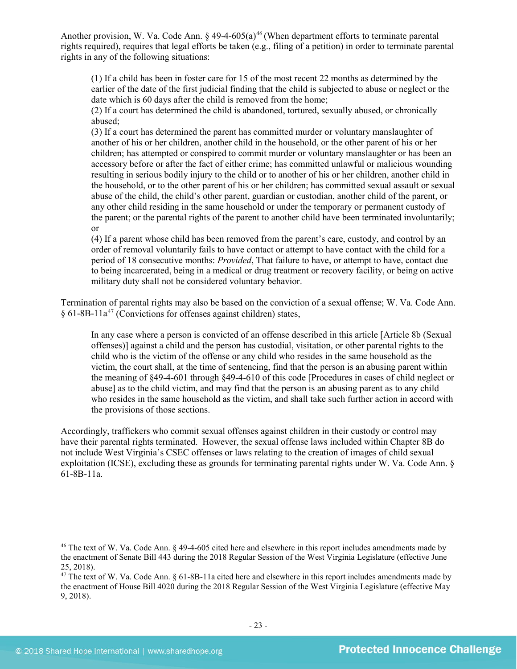Another provision, W. Va. Code Ann.  $\S$  49-4-605(a)<sup>[46](#page-22-0)</sup> (When department efforts to terminate parental rights required), requires that legal efforts be taken (e.g., filing of a petition) in order to terminate parental rights in any of the following situations:

(1) If a child has been in foster care for 15 of the most recent 22 months as determined by the earlier of the date of the first judicial finding that the child is subjected to abuse or neglect or the date which is 60 days after the child is removed from the home;

(2) If a court has determined the child is abandoned, tortured, sexually abused, or chronically abused;

(3) If a court has determined the parent has committed murder or voluntary manslaughter of another of his or her children, another child in the household, or the other parent of his or her children; has attempted or conspired to commit murder or voluntary manslaughter or has been an accessory before or after the fact of either crime; has committed unlawful or malicious wounding resulting in serious bodily injury to the child or to another of his or her children, another child in the household, or to the other parent of his or her children; has committed sexual assault or sexual abuse of the child, the child's other parent, guardian or custodian, another child of the parent, or any other child residing in the same household or under the temporary or permanent custody of the parent; or the parental rights of the parent to another child have been terminated involuntarily; or

(4) If a parent whose child has been removed from the parent's care, custody, and control by an order of removal voluntarily fails to have contact or attempt to have contact with the child for a period of 18 consecutive months: *Provided*, That failure to have, or attempt to have, contact due to being incarcerated, being in a medical or drug treatment or recovery facility, or being on active military duty shall not be considered voluntary behavior.

Termination of parental rights may also be based on the conviction of a sexual offense; W. Va. Code Ann. § 61-8B-11a[47](#page-22-1) (Convictions for offenses against children) states,

In any case where a person is convicted of an offense described in this article [Article 8b (Sexual offenses)] against a child and the person has custodial, visitation, or other parental rights to the child who is the victim of the offense or any child who resides in the same household as the victim, the court shall, at the time of sentencing, find that the person is an abusing parent within the meaning of §49-4-601 through §49-4-610 of this code [Procedures in cases of child neglect or abuse] as to the child victim, and may find that the person is an abusing parent as to any child who resides in the same household as the victim, and shall take such further action in accord with the provisions of those sections.

Accordingly, traffickers who commit sexual offenses against children in their custody or control may have their parental rights terminated. However, the sexual offense laws included within Chapter 8B do not include West Virginia's CSEC offenses or laws relating to the creation of images of child sexual exploitation (ICSE), excluding these as grounds for terminating parental rights under W. Va. Code Ann. § 61-8B-11a.

<span id="page-22-0"></span><sup>&</sup>lt;sup>46</sup> The text of W. Va. Code Ann. § 49-4-605 cited here and elsewhere in this report includes amendments made by the enactment of Senate Bill 443 during the 2018 Regular Session of the West Virginia Legislature (effective June 25, 2018).

<span id="page-22-1"></span> $47$  The text of W. Va. Code Ann. § 61-8B-11a cited here and elsewhere in this report includes amendments made by the enactment of House Bill 4020 during the 2018 Regular Session of the West Virginia Legislature (effective May 9, 2018).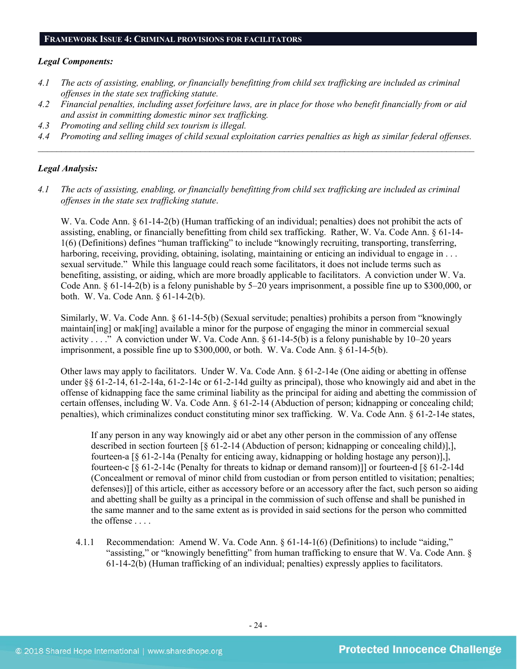#### **FRAMEWORK ISSUE 4: CRIMINAL PROVISIONS FOR FACILITATORS**

#### *Legal Components:*

- *4.1 The acts of assisting, enabling, or financially benefitting from child sex trafficking are included as criminal offenses in the state sex trafficking statute.*
- *4.2 Financial penalties, including asset forfeiture laws, are in place for those who benefit financially from or aid and assist in committing domestic minor sex trafficking.*
- *4.3 Promoting and selling child sex tourism is illegal.*
- *4.4 Promoting and selling images of child sexual exploitation carries penalties as high as similar federal offenses. \_\_\_\_\_\_\_\_\_\_\_\_\_\_\_\_\_\_\_\_\_\_\_\_\_\_\_\_\_\_\_\_\_\_\_\_\_\_\_\_\_\_\_\_\_\_\_\_\_\_\_\_\_\_\_\_\_\_\_\_\_\_\_\_\_\_\_\_\_\_\_\_\_\_\_\_\_\_\_\_\_\_\_\_\_\_\_\_\_\_\_\_\_\_*

#### *Legal Analysis:*

*4.1 The acts of assisting, enabling, or financially benefitting from child sex trafficking are included as criminal offenses in the state sex trafficking statute*.

W. Va. Code Ann. § 61-14-2(b) (Human trafficking of an individual; penalties) does not prohibit the acts of assisting, enabling, or financially benefitting from child sex trafficking. Rather, W. Va. Code Ann. § 61-14- 1(6) (Definitions) defines "human trafficking" to include "knowingly recruiting, transporting, transferring, harboring, receiving, providing, obtaining, isolating, maintaining or enticing an individual to engage in ... sexual servitude." While this language could reach some facilitators, it does not include terms such as benefiting, assisting, or aiding, which are more broadly applicable to facilitators. A conviction under W. Va. Code Ann. § 61-14-2(b) is a felony punishable by 5–20 years imprisonment, a possible fine up to \$300,000, or both. W. Va. Code Ann. § 61-14-2(b).

Similarly, W. Va. Code Ann. § 61-14-5(b) (Sexual servitude; penalties) prohibits a person from "knowingly maintain[ing] or mak[ing] available a minor for the purpose of engaging the minor in commercial sexual activity . . . ." A conviction under W. Va. Code Ann.  $\S$  61-14-5(b) is a felony punishable by 10–20 years imprisonment, a possible fine up to \$300,000, or both. W. Va. Code Ann. § 61-14-5(b).

Other laws may apply to facilitators. Under W. Va. Code Ann. § 61-2-14e (One aiding or abetting in offense under §§ 61-2-14, 61-2-14a, 61-2-14c or 61-2-14d guilty as principal), those who knowingly aid and abet in the offense of kidnapping face the same criminal liability as the principal for aiding and abetting the commission of certain offenses, including W. Va. Code Ann. § 61-2-14 (Abduction of person; kidnapping or concealing child; penalties), which criminalizes conduct constituting minor sex trafficking. W. Va. Code Ann. § 61-2-14e states,

If any person in any way knowingly aid or abet any other person in the commission of any offense described in section fourteen [§ 61-2-14 (Abduction of person; kidnapping or concealing child)],], fourteen-a [§ 61-2-14a (Penalty for enticing away, kidnapping or holding hostage any person)],], fourteen-c [§ 61-2-14c (Penalty for threats to kidnap or demand ransom)]] or fourteen-d [§ 61-2-14d (Concealment or removal of minor child from custodian or from person entitled to visitation; penalties; defenses)]] of this article, either as accessory before or an accessory after the fact, such person so aiding and abetting shall be guilty as a principal in the commission of such offense and shall be punished in the same manner and to the same extent as is provided in said sections for the person who committed the offense . . . .

4.1.1 Recommendation: Amend W. Va. Code Ann. § 61-14-1(6) (Definitions) to include "aiding," "assisting," or "knowingly benefitting" from human trafficking to ensure that W. Va. Code Ann. § 61-14-2(b) (Human trafficking of an individual; penalties) expressly applies to facilitators.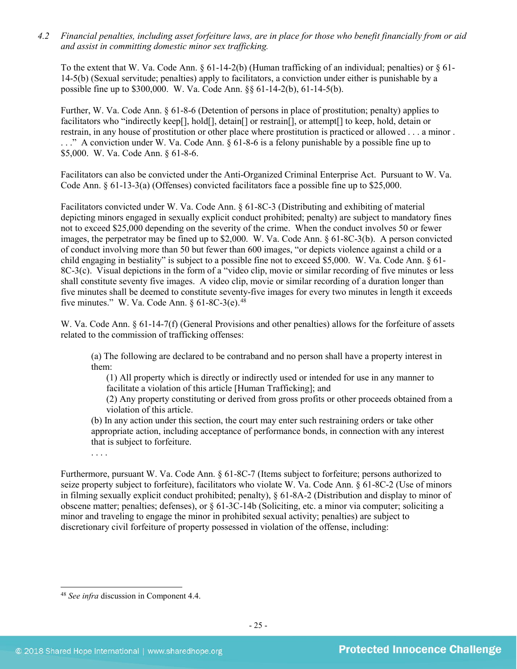*4.2 Financial penalties, including asset forfeiture laws, are in place for those who benefit financially from or aid and assist in committing domestic minor sex trafficking.*

To the extent that W. Va. Code Ann.  $\S 61-14-2(b)$  (Human trafficking of an individual; penalties) or  $\S 61-$ 14-5(b) (Sexual servitude; penalties) apply to facilitators, a conviction under either is punishable by a possible fine up to \$300,000. W. Va. Code Ann. §§ 61-14-2(b), 61-14-5(b).

Further, W. Va. Code Ann. § 61-8-6 (Detention of persons in place of prostitution; penalty) applies to facilitators who "indirectly keep[], hold[], detain[] or restrain[], or attempt[] to keep, hold, detain or restrain, in any house of prostitution or other place where prostitution is practiced or allowed . . . a minor . . . ." A conviction under W. Va. Code Ann. § 61-8-6 is a felony punishable by a possible fine up to \$5,000. W. Va. Code Ann. § 61-8-6.

Facilitators can also be convicted under the Anti-Organized Criminal Enterprise Act. Pursuant to W. Va. Code Ann.  $\S 61-13-3(a)$  (Offenses) convicted facilitators face a possible fine up to \$25,000.

Facilitators convicted under W. Va. Code Ann. § 61-8C-3 (Distributing and exhibiting of material depicting minors engaged in sexually explicit conduct prohibited; penalty) are subject to mandatory fines not to exceed \$25,000 depending on the severity of the crime. When the conduct involves 50 or fewer images, the perpetrator may be fined up to \$2,000. W. Va. Code Ann. § 61-8C-3(b). A person convicted of conduct involving more than 50 but fewer than 600 images, "or depicts violence against a child or a child engaging in bestiality" is subject to a possible fine not to exceed \$5,000. W. Va. Code Ann. § 61- 8C-3(c). Visual depictions in the form of a "video clip, movie or similar recording of five minutes or less shall constitute seventy five images. A video clip, movie or similar recording of a duration longer than five minutes shall be deemed to constitute seventy-five images for every two minutes in length it exceeds five minutes." W. Va. Code Ann.  $§ 61-8C-3(e).$ <sup>48</sup>

W. Va. Code Ann. § 61-14-7(f) (General Provisions and other penalties) allows for the forfeiture of assets related to the commission of trafficking offenses:

(a) The following are declared to be contraband and no person shall have a property interest in them:

(1) All property which is directly or indirectly used or intended for use in any manner to facilitate a violation of this article [Human Trafficking]; and

(2) Any property constituting or derived from gross profits or other proceeds obtained from a violation of this article.

(b) In any action under this section, the court may enter such restraining orders or take other appropriate action, including acceptance of performance bonds, in connection with any interest that is subject to forfeiture.

. . . .

Furthermore, pursuant W. Va. Code Ann. § 61-8C-7 (Items subject to forfeiture; persons authorized to seize property subject to forfeiture), facilitators who violate W. Va. Code Ann. § 61-8C-2 (Use of minors in filming sexually explicit conduct prohibited; penalty), § 61-8A-2 (Distribution and display to minor of obscene matter; penalties; defenses), or § 61-3C-14b (Soliciting, etc. a minor via computer; soliciting a minor and traveling to engage the minor in prohibited sexual activity; penalties) are subject to discretionary civil forfeiture of property possessed in violation of the offense, including:

<span id="page-24-0"></span> <sup>48</sup> *See infra* discussion in Component 4.4.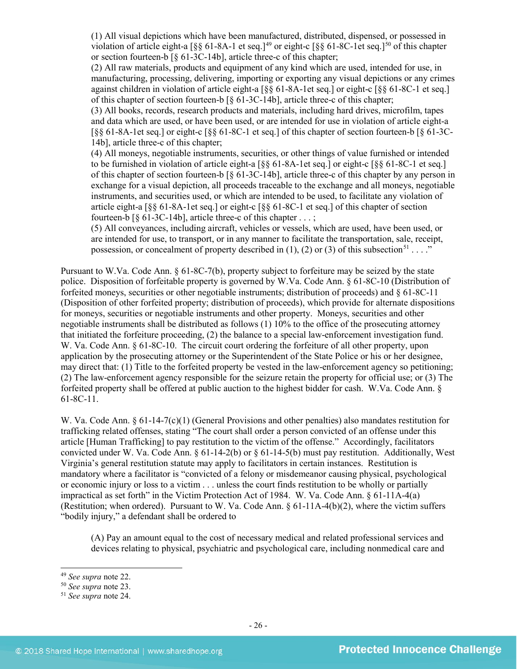(1) All visual depictions which have been manufactured, distributed, dispensed, or possessed in violation of article eight-a  $\lceil \S \S 61-8A-1 \rangle$  et seq.]<sup>[49](#page-25-0)</sup> or eight-c  $\lceil \S \S 61-8C-1 \rangle$  et seq.]<sup>[50](#page-25-1)</sup> of this chapter or section fourteen-b [§ 61-3C-14b], article three-c of this chapter;

(2) All raw materials, products and equipment of any kind which are used, intended for use, in manufacturing, processing, delivering, importing or exporting any visual depictions or any crimes against children in violation of article eight-a [§§ 61-8A-1et seq.] or eight-c [§§ 61-8C-1 et seq.] of this chapter of section fourteen-b [§ 61-3C-14b], article three-c of this chapter;

(3) All books, records, research products and materials, including hard drives, microfilm, tapes and data which are used, or have been used, or are intended for use in violation of article eight-a [§§ 61-8A-1et seq.] or eight-c [§§ 61-8C-1 et seq.] of this chapter of section fourteen-b [§ 61-3C-14b], article three-c of this chapter;

(4) All moneys, negotiable instruments, securities, or other things of value furnished or intended to be furnished in violation of article eight-a [§§ 61-8A-1et seq.] or eight-c [§§ 61-8C-1 et seq.] of this chapter of section fourteen-b [§ 61-3C-14b], article three-c of this chapter by any person in exchange for a visual depiction, all proceeds traceable to the exchange and all moneys, negotiable instruments, and securities used, or which are intended to be used, to facilitate any violation of article eight-a [§§ 61-8A-1et seq.] or eight-c [§§ 61-8C-1 et seq.] of this chapter of section fourteen-b  $\lceil \S 61-3C-14b \rceil$ , article three-c of this chapter ...;

(5) All conveyances, including aircraft, vehicles or vessels, which are used, have been used, or are intended for use, to transport, or in any manner to facilitate the transportation, sale, receipt, possession, or concealment of property described in (1), (2) or (3) of this subsection<sup>[51](#page-25-2)</sup> . . . ."

Pursuant to W.Va. Code Ann. § 61-8C-7(b), property subject to forfeiture may be seized by the state police. Disposition of forfeitable property is governed by W.Va. Code Ann. § 61-8C-10 (Distribution of forfeited moneys, securities or other negotiable instruments; distribution of proceeds) and § 61-8C-11 (Disposition of other forfeited property; distribution of proceeds), which provide for alternate dispositions for moneys, securities or negotiable instruments and other property. Moneys, securities and other negotiable instruments shall be distributed as follows (1) 10% to the office of the prosecuting attorney that initiated the forfeiture proceeding, (2) the balance to a special law-enforcement investigation fund. W. Va. Code Ann. § 61-8C-10. The circuit court ordering the forfeiture of all other property, upon application by the prosecuting attorney or the Superintendent of the State Police or his or her designee, may direct that: (1) Title to the forfeited property be vested in the law-enforcement agency so petitioning; (2) The law-enforcement agency responsible for the seizure retain the property for official use; or (3) The forfeited property shall be offered at public auction to the highest bidder for cash. W.Va. Code Ann. § 61-8C-11.

W. Va. Code Ann. § 61-14-7(c)(1) (General Provisions and other penalties) also mandates restitution for trafficking related offenses, stating "The court shall order a person convicted of an offense under this article [Human Trafficking] to pay restitution to the victim of the offense." Accordingly, facilitators convicted under W. Va. Code Ann.  $\S 61-14-2(b)$  or  $\S 61-14-5(b)$  must pay restitution. Additionally, West Virginia's general restitution statute may apply to facilitators in certain instances. Restitution is mandatory where a facilitator is "convicted of a felony or misdemeanor causing physical, psychological or economic injury or loss to a victim . . . unless the court finds restitution to be wholly or partially impractical as set forth" in the Victim Protection Act of 1984. W. Va. Code Ann. § 61-11A-4(a) (Restitution; when ordered). Pursuant to W. Va. Code Ann. § 61-11A-4(b)(2), where the victim suffers "bodily injury," a defendant shall be ordered to

(A) Pay an amount equal to the cost of necessary medical and related professional services and devices relating to physical, psychiatric and psychological care, including nonmedical care and

<span id="page-25-0"></span><sup>49</sup> *See supra* note [22.](#page-12-3) 50 *See supra* note [23.](#page-12-4)

<span id="page-25-1"></span>

<span id="page-25-2"></span><sup>51</sup> *See supra* note [24.](#page-12-5)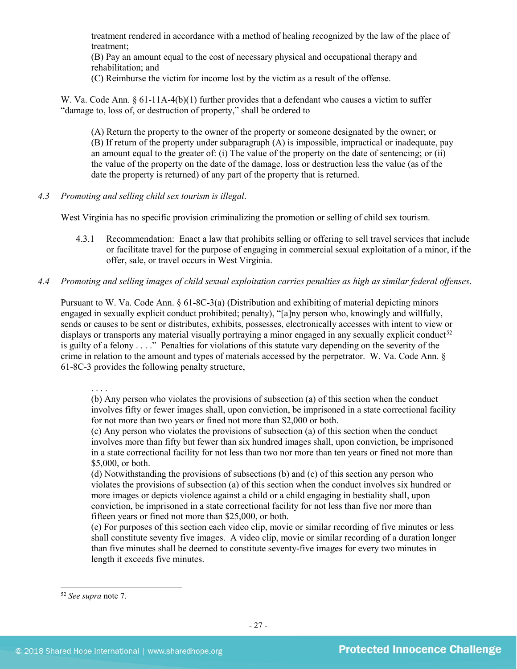treatment rendered in accordance with a method of healing recognized by the law of the place of treatment;

(B) Pay an amount equal to the cost of necessary physical and occupational therapy and rehabilitation; and

(C) Reimburse the victim for income lost by the victim as a result of the offense.

W. Va. Code Ann. § 61-11A-4(b)(1) further provides that a defendant who causes a victim to suffer "damage to, loss of, or destruction of property," shall be ordered to

(A) Return the property to the owner of the property or someone designated by the owner; or (B) If return of the property under subparagraph (A) is impossible, impractical or inadequate, pay an amount equal to the greater of: (i) The value of the property on the date of sentencing; or (ii) the value of the property on the date of the damage, loss or destruction less the value (as of the date the property is returned) of any part of the property that is returned.

*4.3 Promoting and selling child sex tourism is illegal*.

West Virginia has no specific provision criminalizing the promotion or selling of child sex tourism.

- 4.3.1 Recommendation: Enact a law that prohibits selling or offering to sell travel services that include or facilitate travel for the purpose of engaging in commercial sexual exploitation of a minor, if the offer, sale, or travel occurs in West Virginia.
- *4.4 Promoting and selling images of child sexual exploitation carries penalties as high as similar federal offenses*.

Pursuant to W. Va. Code Ann. § 61-8C-3(a) (Distribution and exhibiting of material depicting minors engaged in sexually explicit conduct prohibited; penalty), "[a]ny person who, knowingly and willfully, sends or causes to be sent or distributes, exhibits, possesses, electronically accesses with intent to view or displays or transports any material visually portraying a minor engaged in any sexually explicit conduct<sup>52</sup> is guilty of a felony . . . ." Penalties for violations of this statute vary depending on the severity of the crime in relation to the amount and types of materials accessed by the perpetrator. W. Va. Code Ann. § 61-8C-3 provides the following penalty structure,

. . . .

(b) Any person who violates the provisions of subsection (a) of this section when the conduct involves fifty or fewer images shall, upon conviction, be imprisoned in a state correctional facility for not more than two years or fined not more than \$2,000 or both.

(c) Any person who violates the provisions of subsection (a) of this section when the conduct involves more than fifty but fewer than six hundred images shall, upon conviction, be imprisoned in a state correctional facility for not less than two nor more than ten years or fined not more than \$5,000, or both.

(d) Notwithstanding the provisions of subsections (b) and (c) of this section any person who violates the provisions of subsection (a) of this section when the conduct involves six hundred or more images or depicts violence against a child or a child engaging in bestiality shall, upon conviction, be imprisoned in a state correctional facility for not less than five nor more than fifteen years or fined not more than \$25,000, or both.

(e) For purposes of this section each video clip, movie or similar recording of five minutes or less shall constitute seventy five images. A video clip, movie or similar recording of a duration longer than five minutes shall be deemed to constitute seventy-five images for every two minutes in length it exceeds five minutes.

<span id="page-26-0"></span> <sup>52</sup> *See supra* note [7.](#page-2-6)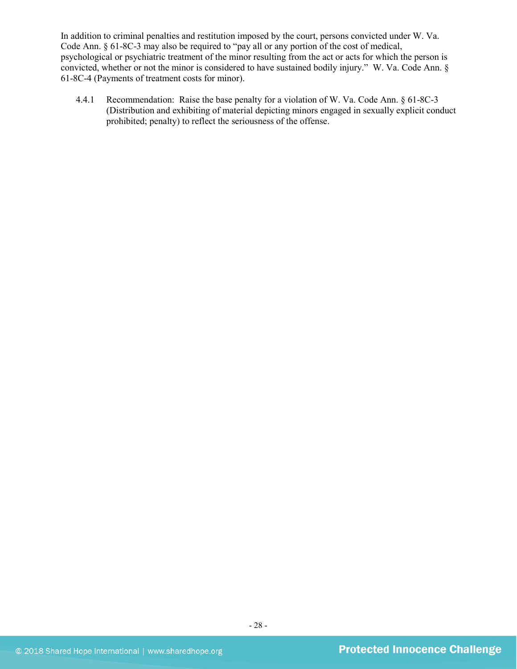In addition to criminal penalties and restitution imposed by the court, persons convicted under W. Va. Code Ann. § 61-8C-3 may also be required to "pay all or any portion of the cost of medical, psychological or psychiatric treatment of the minor resulting from the act or acts for which the person is convicted, whether or not the minor is considered to have sustained bodily injury." W. Va. Code Ann. § 61-8C-4 (Payments of treatment costs for minor).

4.4.1 Recommendation: Raise the base penalty for a violation of W. Va. Code Ann. § 61-8C-3 (Distribution and exhibiting of material depicting minors engaged in sexually explicit conduct prohibited; penalty) to reflect the seriousness of the offense.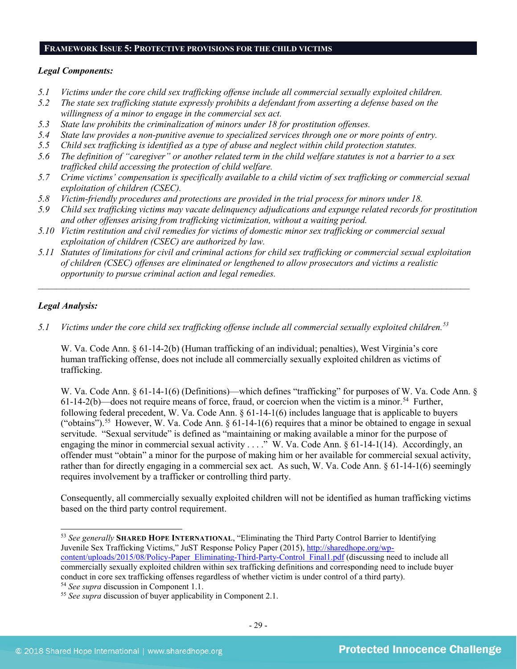#### **FRAMEWORK ISSUE 5: PROTECTIVE PROVISIONS FOR THE CHILD VICTIMS**

#### *Legal Components:*

- *5.1 Victims under the core child sex trafficking offense include all commercial sexually exploited children.*
- *5.2 The state sex trafficking statute expressly prohibits a defendant from asserting a defense based on the willingness of a minor to engage in the commercial sex act.*
- *5.3 State law prohibits the criminalization of minors under 18 for prostitution offenses.*
- *5.4 State law provides a non-punitive avenue to specialized services through one or more points of entry.*
- *5.5 Child sex trafficking is identified as a type of abuse and neglect within child protection statutes.*
- *5.6 The definition of "caregiver" or another related term in the child welfare statutes is not a barrier to a sex trafficked child accessing the protection of child welfare.*
- *5.7 Crime victims' compensation is specifically available to a child victim of sex trafficking or commercial sexual exploitation of children (CSEC).*
- *5.8 Victim-friendly procedures and protections are provided in the trial process for minors under 18.*
- *5.9 Child sex trafficking victims may vacate delinquency adjudications and expunge related records for prostitution and other offenses arising from trafficking victimization, without a waiting period.*
- *5.10 Victim restitution and civil remedies for victims of domestic minor sex trafficking or commercial sexual exploitation of children (CSEC) are authorized by law.*
- *5.11 Statutes of limitations for civil and criminal actions for child sex trafficking or commercial sexual exploitation of children (CSEC) offenses are eliminated or lengthened to allow prosecutors and victims a realistic opportunity to pursue criminal action and legal remedies.*

*\_\_\_\_\_\_\_\_\_\_\_\_\_\_\_\_\_\_\_\_\_\_\_\_\_\_\_\_\_\_\_\_\_\_\_\_\_\_\_\_\_\_\_\_\_\_\_\_\_\_\_\_\_\_\_\_\_\_\_\_\_\_\_\_\_\_\_\_\_\_\_\_\_\_\_\_\_\_\_\_\_\_\_\_\_\_\_\_\_\_\_\_\_*

### *Legal Analysis:*

*5.1 Victims under the core child sex trafficking offense include all commercial sexually exploited children.[53](#page-28-0)* 

W. Va. Code Ann. § 61-14-2(b) (Human trafficking of an individual; penalties), West Virginia's core human trafficking offense, does not include all commercially sexually exploited children as victims of trafficking.

W. Va. Code Ann. § 61-14-1(6) (Definitions)—which defines "trafficking" for purposes of W. Va. Code Ann. § 61-14-2(b)—does not require means of force, fraud, or coercion when the victim is a minor. [54](#page-28-1) Further, following federal precedent, W. Va. Code Ann. § 61-14-1(6) includes language that is applicable to buyers ("obtains").<sup>[55](#page-28-2)</sup> However, W. Va. Code Ann.  $\S 61-14-1(6)$  requires that a minor be obtained to engage in sexual servitude. "Sexual servitude" is defined as "maintaining or making available a minor for the purpose of engaging the minor in commercial sexual activity . . . ." W. Va. Code Ann. § 61-14-1(14). Accordingly, an offender must "obtain" a minor for the purpose of making him or her available for commercial sexual activity, rather than for directly engaging in a commercial sex act. As such, W. Va. Code Ann. § 61-14-1(6) seemingly requires involvement by a trafficker or controlling third party.

Consequently, all commercially sexually exploited children will not be identified as human trafficking victims based on the third party control requirement.

<span id="page-28-0"></span> <sup>53</sup> *See generally* **SHARED HOPE INTERNATIONAL**, "Eliminating the Third Party Control Barrier to Identifying Juvenile Sex Trafficking Victims," JuST Response Policy Paper (2015), [http://sharedhope.org/wp](http://sharedhope.org/wp-content/uploads/2015/08/Policy-Paper_Eliminating-Third-Party-Control_Final1.pdf)[content/uploads/2015/08/Policy-Paper\\_Eliminating-Third-Party-Control\\_Final1.pdf](http://sharedhope.org/wp-content/uploads/2015/08/Policy-Paper_Eliminating-Third-Party-Control_Final1.pdf) (discussing need to include all commercially sexually exploited children within sex trafficking definitions and corresponding need to include buyer conduct in core sex trafficking offenses regardless of whether victim is under control of a third party).

<span id="page-28-1"></span><sup>54</sup> *See supra* discussion in Component 1.1.

<span id="page-28-2"></span><sup>55</sup> *See supra* discussion of buyer applicability in Component 2.1.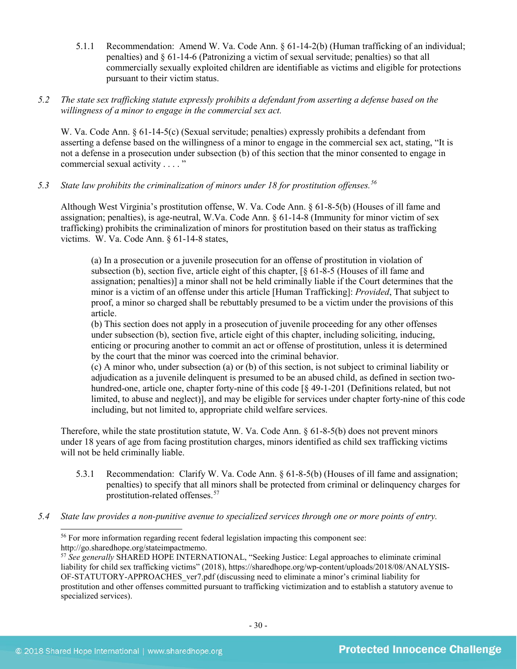5.1.1 Recommendation: Amend W. Va. Code Ann. § 61-14-2(b) (Human trafficking of an individual; penalties) and § 61-14-6 (Patronizing a victim of sexual servitude; penalties) so that all commercially sexually exploited children are identifiable as victims and eligible for protections pursuant to their victim status.

# *5.2 The state sex trafficking statute expressly prohibits a defendant from asserting a defense based on the willingness of a minor to engage in the commercial sex act.*

W. Va. Code Ann. § 61-14-5(c) (Sexual servitude; penalties) expressly prohibits a defendant from asserting a defense based on the willingness of a minor to engage in the commercial sex act, stating, "It is not a defense in a prosecution under subsection (b) of this section that the minor consented to engage in commercial sexual activity . . . . "

*5.3 State law prohibits the criminalization of minors under 18 for prostitution offenses.[56](#page-29-0)*

Although West Virginia's prostitution offense, W. Va. Code Ann. § 61-8-5(b) (Houses of ill fame and assignation; penalties), is age-neutral, W.Va. Code Ann. § 61-14-8 (Immunity for minor victim of sex trafficking) prohibits the criminalization of minors for prostitution based on their status as trafficking victims. W. Va. Code Ann. § 61-14-8 states,

(a) In a prosecution or a juvenile prosecution for an offense of prostitution in violation of subsection (b), section five, article eight of this chapter, [§ 61-8-5 (Houses of ill fame and assignation; penalties)] a minor shall not be held criminally liable if the Court determines that the minor is a victim of an offense under this article [Human Trafficking]: *Provided*, That subject to proof, a minor so charged shall be rebuttably presumed to be a victim under the provisions of this article.

(b) This section does not apply in a prosecution of juvenile proceeding for any other offenses under subsection (b), section five, article eight of this chapter, including soliciting, inducing, enticing or procuring another to commit an act or offense of prostitution, unless it is determined by the court that the minor was coerced into the criminal behavior.

(c) A minor who, under subsection (a) or (b) of this section, is not subject to criminal liability or adjudication as a juvenile delinquent is presumed to be an abused child, as defined in section twohundred-one, article one, chapter forty-nine of this code [§ 49-1-201 (Definitions related, but not limited, to abuse and neglect)], and may be eligible for services under chapter forty-nine of this code including, but not limited to, appropriate child welfare services.

Therefore, while the state prostitution statute, W. Va. Code Ann. § 61-8-5(b) does not prevent minors under 18 years of age from facing prostitution charges, minors identified as child sex trafficking victims will not be held criminally liable.

- 5.3.1 Recommendation: Clarify W. Va. Code Ann. § 61-8-5(b) (Houses of ill fame and assignation; penalties) to specify that all minors shall be protected from criminal or delinquency charges for prostitution-related offenses.[57](#page-29-1)
- <span id="page-29-1"></span><span id="page-29-0"></span>*5.4 State law provides a non-punitive avenue to specialized services through one or more points of entry.*

 <sup>56</sup> For more information regarding recent federal legislation impacting this component see: http://go.sharedhope.org/stateimpactmemo.

<sup>57</sup> *See generally* SHARED HOPE INTERNATIONAL, "Seeking Justice: Legal approaches to eliminate criminal liability for child sex trafficking victims" (2018), https://sharedhope.org/wp-content/uploads/2018/08/ANALYSIS-OF-STATUTORY-APPROACHES\_ver7.pdf (discussing need to eliminate a minor's criminal liability for prostitution and other offenses committed pursuant to trafficking victimization and to establish a statutory avenue to specialized services).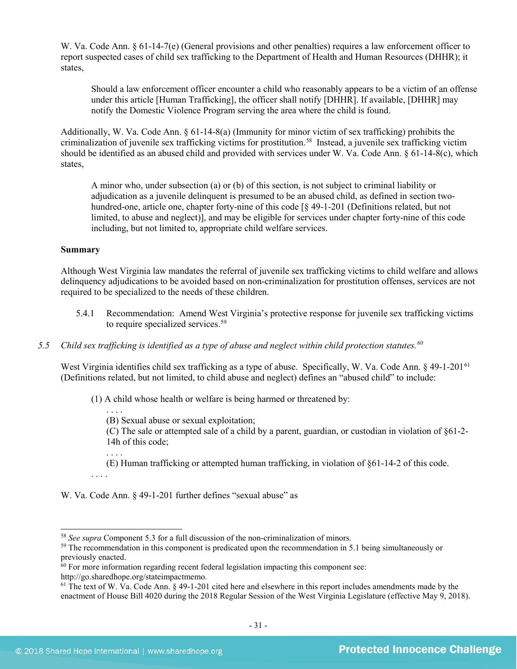W. Va. Code Ann. § 61-14-7(e) (General provisions and other penalties) requires a law enforcement officer to report suspected cases of child sex trafficking to the Department of Health and Human Resources (DHHR); it states,

Should a law enforcement officer encounter a child who reasonably appears to be a victim of an offense under this article [Human Trafficking], the officer shall notify [DHHR]. If available, [DHHR] may notify the Domestic Violence Program serving the area where the child is found.

Additionally, W. Va. Code Ann.  $\S 61-14-8(a)$  (Immunity for minor victim of sex trafficking) prohibits the criminalization of juvenile sex trafficking victims for prostitution.<sup>58</sup> Instead, a juvenile sex trafficking victim should be identified as an abused child and provided with services under W. Va. Code Ann. § 61-14-8(c), which states,

A minor who, under subsection (a) or (b) of this section, is not subject to criminal liability or adjudication as a juvenile delinquent is presumed to be an abused child, as defined in section twohundred-one, article one, chapter forty-nine of this code [§ 49-1-201 (Definitions related, but not limited, to abuse and neglect)], and may be eligible for services under chapter forty-nine of this code including, but not limited to, appropriate child welfare services.

### **Summary**

Although West Virginia law mandates the referral of juvenile sex trafficking victims to child welfare and allows delinquency adjudications to be avoided based on non-criminalization for prostitution offenses, services are not required to be specialized to the needs of these children.

- 5.4.1 Recommendation: Amend West Virginia's protective response for juvenile sex trafficking victims to require specialized services. [59](#page-30-1)
- *5.5 Child sex trafficking is identified as a type of abuse and neglect within child protection statutes.[60](#page-30-2)*

West Virginia identifies child sex trafficking as a type of abuse. Specifically, W. Va. Code Ann. § 49-1-201<sup>[61](#page-30-3)</sup> (Definitions related, but not limited, to child abuse and neglect) defines an "abused child" to include:

(1) A child whose health or welfare is being harmed or threatened by:

. . . . (B) Sexual abuse or sexual exploitation;

(C) The sale or attempted sale of a child by a parent, guardian, or custodian in violation of §61-2- 14h of this code;

- (E) Human trafficking or attempted human trafficking, in violation of §61-14-2 of this code.
- W. Va. Code Ann. § 49-1-201 further defines "sexual abuse" as

. . . .

<span id="page-30-0"></span> <sup>58</sup> *See supra* Component 5.3 for a full discussion of the non-criminalization of minors.

<span id="page-30-1"></span><sup>&</sup>lt;sup>59</sup> The recommendation in this component is predicated upon the recommendation in 5.1 being simultaneously or previously enacted.

<span id="page-30-2"></span> $60$  For more information regarding recent federal legislation impacting this component see:

http://go.sharedhope.org/stateimpactmemo.

<span id="page-30-3"></span> $61$  The text of W. Va. Code Ann.  $\S$  49-1-201 cited here and elsewhere in this report includes amendments made by the enactment of House Bill 4020 during the 2018 Regular Session of the West Virginia Legislature (effective May 9, 2018).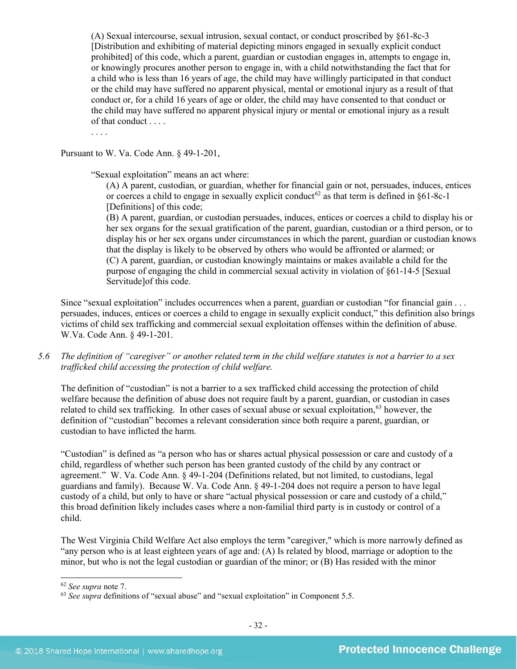(A) Sexual intercourse, sexual intrusion, sexual contact, or conduct proscribed by §61-8c-3 [Distribution and exhibiting of material depicting minors engaged in sexually explicit conduct prohibited] of this code, which a parent, guardian or custodian engages in, attempts to engage in, or knowingly procures another person to engage in, with a child notwithstanding the fact that for a child who is less than 16 years of age, the child may have willingly participated in that conduct or the child may have suffered no apparent physical, mental or emotional injury as a result of that conduct or, for a child 16 years of age or older, the child may have consented to that conduct or the child may have suffered no apparent physical injury or mental or emotional injury as a result of that conduct . . . .

. . . .

Pursuant to W. Va. Code Ann. § 49-1-201,

"Sexual exploitation" means an act where:

(A) A parent, custodian, or guardian, whether for financial gain or not, persuades, induces, entices or coerces a child to engage in sexually explicit conduct<sup>[62](#page-31-0)</sup> as that term is defined in  $§61-8c-1$ [Definitions] of this code:

(B) A parent, guardian, or custodian persuades, induces, entices or coerces a child to display his or her sex organs for the sexual gratification of the parent, guardian, custodian or a third person, or to display his or her sex organs under circumstances in which the parent, guardian or custodian knows that the display is likely to be observed by others who would be affronted or alarmed; or (C) A parent, guardian, or custodian knowingly maintains or makes available a child for the purpose of engaging the child in commercial sexual activity in violation of §61-14-5 [Sexual Servitude]of this code.

Since "sexual exploitation" includes occurrences when a parent, guardian or custodian "for financial gain . . . persuades, induces, entices or coerces a child to engage in sexually explicit conduct," this definition also brings victims of child sex trafficking and commercial sexual exploitation offenses within the definition of abuse. W.Va. Code Ann. § 49-1-201.

*5.6 The definition of "caregiver" or another related term in the child welfare statutes is not a barrier to a sex trafficked child accessing the protection of child welfare.*

The definition of "custodian" is not a barrier to a sex trafficked child accessing the protection of child welfare because the definition of abuse does not require fault by a parent, guardian, or custodian in cases related to child sex trafficking. In other cases of sexual abuse or sexual exploitation,<sup>[63](#page-31-1)</sup> however, the definition of "custodian" becomes a relevant consideration since both require a parent, guardian, or custodian to have inflicted the harm.

"Custodian" is defined as "a person who has or shares actual physical possession or care and custody of a child, regardless of whether such person has been granted custody of the child by any contract or agreement." W. Va. Code Ann. § 49-1-204 (Definitions related, but not limited, to custodians, legal guardians and family). Because W. Va. Code Ann. § 49-1-204 does not require a person to have legal custody of a child, but only to have or share "actual physical possession or care and custody of a child," this broad definition likely includes cases where a non-familial third party is in custody or control of a child.

The West Virginia Child Welfare Act also employs the term "caregiver," which is more narrowly defined as "any person who is at least eighteen years of age and: (A) Is related by blood, marriage or adoption to the minor, but who is not the legal custodian or guardian of the minor; or (B) Has resided with the minor

<span id="page-31-1"></span><span id="page-31-0"></span><sup>&</sup>lt;sup>62</sup> *See supra* note [7.](#page-2-6)<br><sup>63</sup> *See supra* definitions of "sexual abuse" and "sexual exploitation" in Component 5.5.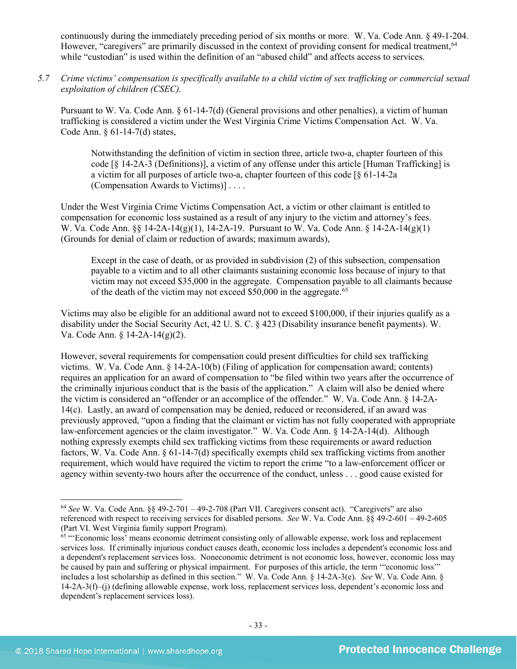continuously during the immediately preceding period of six months or more. W. Va. Code Ann. § 49-1-204. However, "caregivers" are primarily discussed in the context of providing consent for medical treatment,<sup>[64](#page-32-0)</sup> while "custodian" is used within the definition of an "abused child" and affects access to services.

*5.7 Crime victims' compensation is specifically available to a child victim of sex trafficking or commercial sexual exploitation of children (CSEC).*

Pursuant to W. Va. Code Ann. § 61-14-7(d) (General provisions and other penalties), a victim of human trafficking is considered a victim under the West Virginia Crime Victims Compensation Act. W. Va. Code Ann. § 61-14-7(d) states,

Notwithstanding the definition of victim in section three, article two-a, chapter fourteen of this code [§ 14-2A-3 (Definitions)], a victim of any offense under this article [Human Trafficking] is a victim for all purposes of article two-a, chapter fourteen of this code [§ 61-14-2a (Compensation Awards to Victims)] . . . .

Under the West Virginia Crime Victims Compensation Act, a victim or other claimant is entitled to compensation for economic loss sustained as a result of any injury to the victim and attorney's fees. W. Va. Code Ann. §§ 14-2A-14(g)(1), 14-2A-19. Pursuant to W. Va. Code Ann. § 14-2A-14(g)(1) (Grounds for denial of claim or reduction of awards; maximum awards),

Except in the case of death, or as provided in subdivision (2) of this subsection, compensation payable to a victim and to all other claimants sustaining economic loss because of injury to that victim may not exceed \$35,000 in the aggregate. Compensation payable to all claimants because of the death of the victim may not exceed \$50,000 in the aggregate.<sup>[65](#page-32-1)</sup>

Victims may also be eligible for an additional award not to exceed \$100,000, if their injuries qualify as a disability under the Social Security Act, 42 U. S. C. § 423 (Disability insurance benefit payments). W. Va. Code Ann. § 14-2A-14(g)(2).

However, several requirements for compensation could present difficulties for child sex trafficking victims. W. Va. Code Ann. § 14-2A-10(b) (Filing of application for compensation award; contents) requires an application for an award of compensation to "be filed within two years after the occurrence of the criminally injurious conduct that is the basis of the application." A claim will also be denied where the victim is considered an "offender or an accomplice of the offender." W. Va. Code Ann. § 14-2A-14(c). Lastly, an award of compensation may be denied, reduced or reconsidered, if an award was previously approved, "upon a finding that the claimant or victim has not fully cooperated with appropriate law-enforcement agencies or the claim investigator." W. Va. Code Ann. § 14-2A-14(d). Although nothing expressly exempts child sex trafficking victims from these requirements or award reduction factors, W. Va. Code Ann. § 61-14-7(d) specifically exempts child sex trafficking victims from another requirement, which would have required the victim to report the crime "to a law-enforcement officer or agency within seventy-two hours after the occurrence of the conduct, unless . . . good cause existed for

<span id="page-32-0"></span> <sup>64</sup> *See* W. Va. Code Ann. §§ 49-2-701 – 49-2-708 (Part VII. Caregivers consent act). "Caregivers" are also referenced with respect to receiving services for disabled persons. *See* W. Va. Code Ann. §§ 49-2-601 – 49-2-605 (Part VI. West Virginia family support Program).

<span id="page-32-1"></span><sup>65</sup> "'Economic loss' means economic detriment consisting only of allowable expense, work loss and replacement services loss. If criminally injurious conduct causes death, economic loss includes a dependent's economic loss and a dependent's replacement services loss. Noneconomic detriment is not economic loss, however, economic loss may be caused by pain and suffering or physical impairment. For purposes of this article, the term '"economic loss'" includes a lost scholarship as defined in this section." W. Va. Code Ann. § 14-2A-3(e). *See* W. Va. Code Ann. § 14-2A-3(f)–(j) (defining allowable expense, work loss, replacement services loss, dependent's economic loss and dependent's replacement services loss).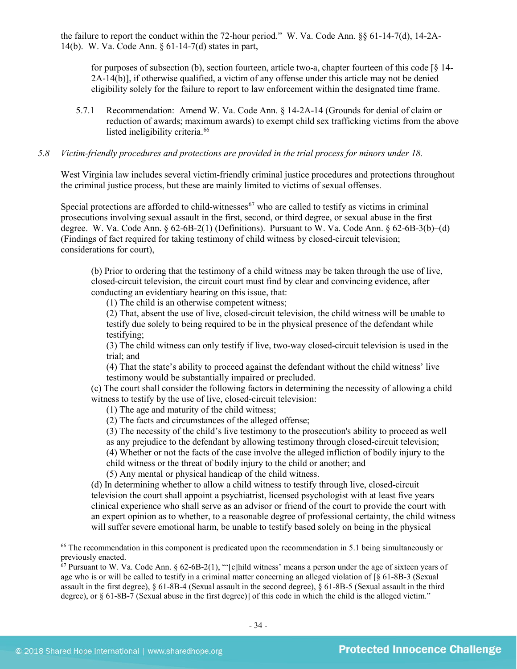the failure to report the conduct within the 72-hour period." W. Va. Code Ann. §§ 61-14-7(d), 14-2A-14(b). W. Va. Code Ann. § 61-14-7(d) states in part,

for purposes of subsection (b), section fourteen, article two-a, chapter fourteen of this code  $\lceil \xi \rceil$  4-2A-14(b)], if otherwise qualified, a victim of any offense under this article may not be denied eligibility solely for the failure to report to law enforcement within the designated time frame.

5.7.1 Recommendation: Amend W. Va. Code Ann. § 14-2A-14 (Grounds for denial of claim or reduction of awards; maximum awards) to exempt child sex trafficking victims from the above listed ineligibility criteria.<sup>[66](#page-33-0)</sup>

#### *5.8 Victim-friendly procedures and protections are provided in the trial process for minors under 18.*

West Virginia law includes several victim-friendly criminal justice procedures and protections throughout the criminal justice process, but these are mainly limited to victims of sexual offenses.

Special protections are afforded to child-witnesses<sup>[67](#page-33-1)</sup> who are called to testify as victims in criminal prosecutions involving sexual assault in the first, second, or third degree, or sexual abuse in the first degree. W. Va. Code Ann. § 62-6B-2(1) (Definitions). Pursuant to W. Va. Code Ann. § 62-6B-3(b)–(d) (Findings of fact required for taking testimony of child witness by closed-circuit television; considerations for court),

(b) Prior to ordering that the testimony of a child witness may be taken through the use of live, closed-circuit television, the circuit court must find by clear and convincing evidence, after conducting an evidentiary hearing on this issue, that:

(1) The child is an otherwise competent witness;

(2) That, absent the use of live, closed-circuit television, the child witness will be unable to testify due solely to being required to be in the physical presence of the defendant while testifying;

(3) The child witness can only testify if live, two-way closed-circuit television is used in the trial; and

(4) That the state's ability to proceed against the defendant without the child witness' live testimony would be substantially impaired or precluded.

(c) The court shall consider the following factors in determining the necessity of allowing a child witness to testify by the use of live, closed-circuit television:

(1) The age and maturity of the child witness;

(2) The facts and circumstances of the alleged offense;

(3) The necessity of the child's live testimony to the prosecution's ability to proceed as well as any prejudice to the defendant by allowing testimony through closed-circuit television;

(4) Whether or not the facts of the case involve the alleged infliction of bodily injury to the

child witness or the threat of bodily injury to the child or another; and

(5) Any mental or physical handicap of the child witness.

(d) In determining whether to allow a child witness to testify through live, closed-circuit television the court shall appoint a psychiatrist, licensed psychologist with at least five years clinical experience who shall serve as an advisor or friend of the court to provide the court with an expert opinion as to whether, to a reasonable degree of professional certainty, the child witness will suffer severe emotional harm, be unable to testify based solely on being in the physical

<span id="page-33-0"></span><sup>&</sup>lt;sup>66</sup> The recommendation in this component is predicated upon the recommendation in 5.1 being simultaneously or previously enacted.

<span id="page-33-1"></span> $67$  Pursuant to W. Va. Code Ann. § 62-6B-2(1), "'[c]hild witness' means a person under the age of sixteen years of age who is or will be called to testify in a criminal matter concerning an alleged violation of [§ 61-8B-3 (Sexual assault in the first degree), § 61-8B-4 (Sexual assault in the second degree), § 61-8B-5 (Sexual assault in the third degree), or § 61-8B-7 (Sexual abuse in the first degree)] of this code in which the child is the alleged victim."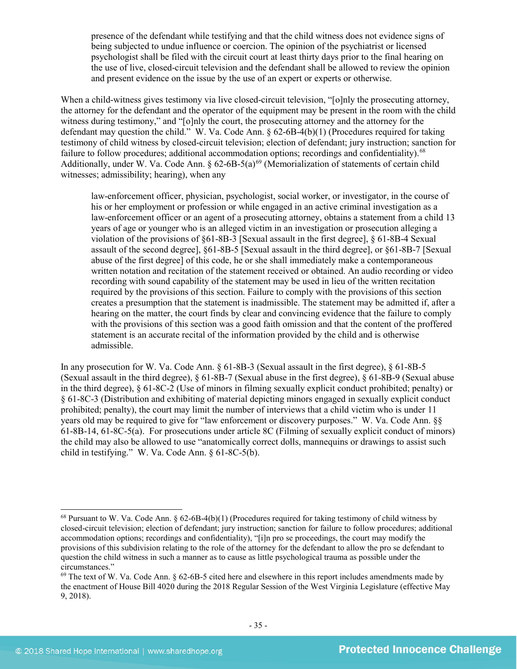presence of the defendant while testifying and that the child witness does not evidence signs of being subjected to undue influence or coercion. The opinion of the psychiatrist or licensed psychologist shall be filed with the circuit court at least thirty days prior to the final hearing on the use of live, closed-circuit television and the defendant shall be allowed to review the opinion and present evidence on the issue by the use of an expert or experts or otherwise.

When a child-witness gives testimony via live closed-circuit television, "[o]nly the prosecuting attorney, the attorney for the defendant and the operator of the equipment may be present in the room with the child witness during testimony," and "[o]nly the court, the prosecuting attorney and the attorney for the defendant may question the child." W. Va. Code Ann.  $\S 62-6B-4(b)(1)$  (Procedures required for taking testimony of child witness by closed-circuit television; election of defendant; jury instruction; sanction for failure to follow procedures; additional accommodation options; recordings and confidentiality).<sup>[68](#page-34-0)</sup> Additionally, under W. Va. Code Ann. §  $62-6B-5(a)^{69}$  $62-6B-5(a)^{69}$  $62-6B-5(a)^{69}$  (Memorialization of statements of certain child witnesses; admissibility; hearing), when any

law-enforcement officer, physician, psychologist, social worker, or investigator, in the course of his or her employment or profession or while engaged in an active criminal investigation as a law-enforcement officer or an agent of a prosecuting attorney, obtains a statement from a child 13 years of age or younger who is an alleged victim in an investigation or prosecution alleging a violation of the provisions of §61-8B-3 [Sexual assault in the first degree], § 61-8B-4 Sexual assault of the second degree], §61-8B-5 [Sexual assault in the third degree], or §61-8B-7 [Sexual abuse of the first degree] of this code, he or she shall immediately make a contemporaneous written notation and recitation of the statement received or obtained. An audio recording or video recording with sound capability of the statement may be used in lieu of the written recitation required by the provisions of this section. Failure to comply with the provisions of this section creates a presumption that the statement is inadmissible. The statement may be admitted if, after a hearing on the matter, the court finds by clear and convincing evidence that the failure to comply with the provisions of this section was a good faith omission and that the content of the proffered statement is an accurate recital of the information provided by the child and is otherwise admissible.

In any prosecution for W. Va. Code Ann. § 61-8B-3 (Sexual assault in the first degree), § 61-8B-5 (Sexual assault in the third degree), § 61-8B-7 (Sexual abuse in the first degree), § 61-8B-9 (Sexual abuse in the third degree), § 61-8C-2 (Use of minors in filming sexually explicit conduct prohibited; penalty) or § 61-8C-3 (Distribution and exhibiting of material depicting minors engaged in sexually explicit conduct prohibited; penalty), the court may limit the number of interviews that a child victim who is under 11 years old may be required to give for "law enforcement or discovery purposes." W. Va. Code Ann. §§ 61-8B-14, 61-8C-5(a). For prosecutions under article 8C (Filming of sexually explicit conduct of minors) the child may also be allowed to use "anatomically correct dolls, mannequins or drawings to assist such child in testifying." W. Va. Code Ann. § 61-8C-5(b).

<span id="page-34-0"></span><sup>&</sup>lt;sup>68</sup> Pursuant to W. Va. Code Ann.  $\S 62$ -6B-4(b)(1) (Procedures required for taking testimony of child witness by closed-circuit television; election of defendant; jury instruction; sanction for failure to follow procedures; additional accommodation options; recordings and confidentiality), "[i]n pro se proceedings, the court may modify the provisions of this subdivision relating to the role of the attorney for the defendant to allow the pro se defendant to question the child witness in such a manner as to cause as little psychological trauma as possible under the circumstances."

<span id="page-34-1"></span> $69$  The text of W. Va. Code Ann. § 62-6B-5 cited here and elsewhere in this report includes amendments made by the enactment of House Bill 4020 during the 2018 Regular Session of the West Virginia Legislature (effective May 9, 2018).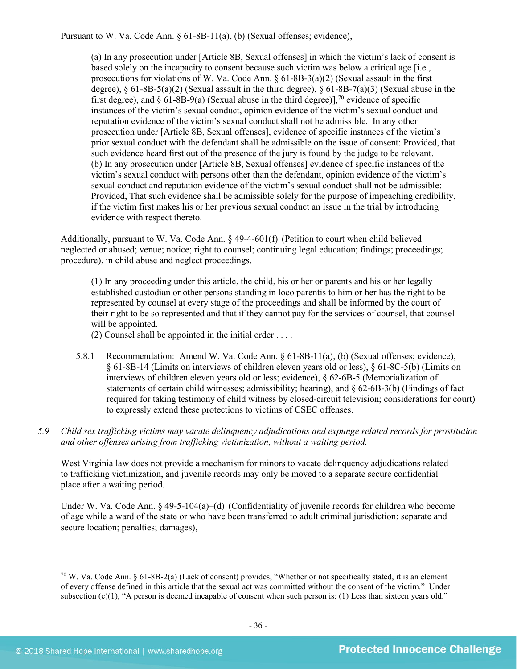Pursuant to W. Va. Code Ann. § 61-8B-11(a), (b) (Sexual offenses; evidence),

(a) In any prosecution under [Article 8B, Sexual offenses] in which the victim's lack of consent is based solely on the incapacity to consent because such victim was below a critical age [i.e., prosecutions for violations of W. Va. Code Ann.  $\S 61-8B-3(a)(2)$  (Sexual assault in the first degree),  $\S 61-8B-5(a)(2)$  (Sexual assault in the third degree),  $\S 61-8B-7(a)(3)$  (Sexual abuse in the first degree), and  $\S 61-8B-9(a)$  (Sexual abuse in the third degree)], <sup>[70](#page-35-0)</sup> evidence of specific instances of the victim's sexual conduct, opinion evidence of the victim's sexual conduct and reputation evidence of the victim's sexual conduct shall not be admissible. In any other prosecution under [Article 8B, Sexual offenses], evidence of specific instances of the victim's prior sexual conduct with the defendant shall be admissible on the issue of consent: Provided, that such evidence heard first out of the presence of the jury is found by the judge to be relevant. (b) In any prosecution under [Article 8B, Sexual offenses] evidence of specific instances of the victim's sexual conduct with persons other than the defendant, opinion evidence of the victim's sexual conduct and reputation evidence of the victim's sexual conduct shall not be admissible: Provided, That such evidence shall be admissible solely for the purpose of impeaching credibility, if the victim first makes his or her previous sexual conduct an issue in the trial by introducing evidence with respect thereto.

Additionally, pursuant to W. Va. Code Ann. § 49-4-601(f) (Petition to court when child believed neglected or abused; venue; notice; right to counsel; continuing legal education; findings; proceedings; procedure), in child abuse and neglect proceedings,

(1) In any proceeding under this article, the child, his or her or parents and his or her legally established custodian or other persons standing in loco parentis to him or her has the right to be represented by counsel at every stage of the proceedings and shall be informed by the court of their right to be so represented and that if they cannot pay for the services of counsel, that counsel will be appointed.

- (2) Counsel shall be appointed in the initial order . . . .
- 5.8.1 Recommendation: Amend W. Va. Code Ann. § 61-8B-11(a), (b) (Sexual offenses; evidence), § 61-8B-14 (Limits on interviews of children eleven years old or less), § 61-8C-5(b) (Limits on interviews of children eleven years old or less; evidence), § 62-6B-5 (Memorialization of statements of certain child witnesses; admissibility; hearing), and § 62-6B-3(b) (Findings of fact required for taking testimony of child witness by closed-circuit television; considerations for court) to expressly extend these protections to victims of CSEC offenses.
- *5.9 Child sex trafficking victims may vacate delinquency adjudications and expunge related records for prostitution and other offenses arising from trafficking victimization, without a waiting period.*

West Virginia law does not provide a mechanism for minors to vacate delinquency adjudications related to trafficking victimization, and juvenile records may only be moved to a separate secure confidential place after a waiting period.

Under W. Va. Code Ann. § 49-5-104(a)–(d) (Confidentiality of juvenile records for children who become of age while a ward of the state or who have been transferred to adult criminal jurisdiction; separate and secure location; penalties; damages),

<span id="page-35-0"></span> $70$  W. Va. Code Ann. § 61-8B-2(a) (Lack of consent) provides, "Whether or not specifically stated, it is an element of every offense defined in this article that the sexual act was committed without the consent of the victim." Under subsection (c)(1), "A person is deemed incapable of consent when such person is: (1) Less than sixteen years old."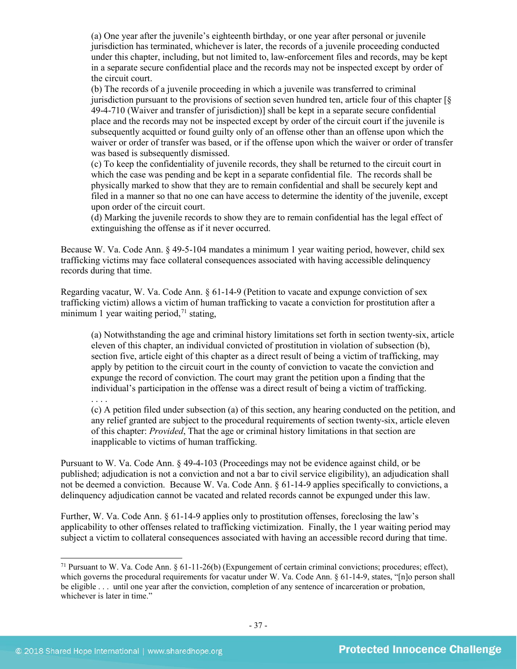(a) One year after the juvenile's eighteenth birthday, or one year after personal or juvenile jurisdiction has terminated, whichever is later, the records of a juvenile proceeding conducted under this chapter, including, but not limited to, law-enforcement files and records, may be kept in a separate secure confidential place and the records may not be inspected except by order of the circuit court.

(b) The records of a juvenile proceeding in which a juvenile was transferred to criminal jurisdiction pursuant to the provisions of section seven hundred ten, article four of this chapter [§ 49-4-710 (Waiver and transfer of jurisdiction)] shall be kept in a separate secure confidential place and the records may not be inspected except by order of the circuit court if the juvenile is subsequently acquitted or found guilty only of an offense other than an offense upon which the waiver or order of transfer was based, or if the offense upon which the waiver or order of transfer was based is subsequently dismissed.

(c) To keep the confidentiality of juvenile records, they shall be returned to the circuit court in which the case was pending and be kept in a separate confidential file. The records shall be physically marked to show that they are to remain confidential and shall be securely kept and filed in a manner so that no one can have access to determine the identity of the juvenile, except upon order of the circuit court.

(d) Marking the juvenile records to show they are to remain confidential has the legal effect of extinguishing the offense as if it never occurred.

Because W. Va. Code Ann. § 49-5-104 mandates a minimum 1 year waiting period, however, child sex trafficking victims may face collateral consequences associated with having accessible delinquency records during that time.

Regarding vacatur, W. Va. Code Ann. § 61-14-9 (Petition to vacate and expunge conviction of sex trafficking victim) allows a victim of human trafficking to vacate a conviction for prostitution after a minimum 1 year waiting period,<sup>[71](#page-36-0)</sup> stating,

(a) Notwithstanding the age and criminal history limitations set forth in section twenty-six, article eleven of this chapter, an individual convicted of prostitution in violation of subsection (b), section five, article eight of this chapter as a direct result of being a victim of trafficking, may apply by petition to the circuit court in the county of conviction to vacate the conviction and expunge the record of conviction. The court may grant the petition upon a finding that the individual's participation in the offense was a direct result of being a victim of trafficking.

. . . . (c) A petition filed under subsection (a) of this section, any hearing conducted on the petition, and any relief granted are subject to the procedural requirements of section twenty-six, article eleven of this chapter: *Provided*, That the age or criminal history limitations in that section are inapplicable to victims of human trafficking.

Pursuant to W. Va. Code Ann. § 49-4-103 (Proceedings may not be evidence against child, or be published; adjudication is not a conviction and not a bar to civil service eligibility), an adjudication shall not be deemed a conviction. Because W. Va. Code Ann. § 61-14-9 applies specifically to convictions, a delinquency adjudication cannot be vacated and related records cannot be expunged under this law.

Further, W. Va. Code Ann. § 61-14-9 applies only to prostitution offenses, foreclosing the law's applicability to other offenses related to trafficking victimization. Finally, the 1 year waiting period may subject a victim to collateral consequences associated with having an accessible record during that time.

<span id="page-36-0"></span> <sup>71</sup> Pursuant to W. Va. Code Ann. § 61-11-26(b) (Expungement of certain criminal convictions; procedures; effect), which governs the procedural requirements for vacatur under W. Va. Code Ann. § 61-14-9, states, "[n]o person shall be eligible . . . until one year after the conviction, completion of any sentence of incarceration or probation, whichever is later in time."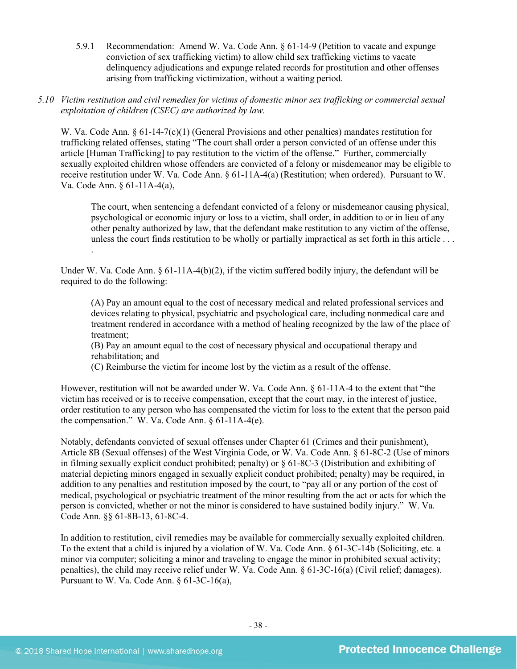- 5.9.1 Recommendation: Amend W. Va. Code Ann. § 61-14-9 (Petition to vacate and expunge conviction of sex trafficking victim) to allow child sex trafficking victims to vacate delinquency adjudications and expunge related records for prostitution and other offenses arising from trafficking victimization, without a waiting period.
- *5.10 Victim restitution and civil remedies for victims of domestic minor sex trafficking or commercial sexual exploitation of children (CSEC) are authorized by law.*

W. Va. Code Ann. § 61-14-7(c)(1) (General Provisions and other penalties) mandates restitution for trafficking related offenses, stating "The court shall order a person convicted of an offense under this article [Human Trafficking] to pay restitution to the victim of the offense." Further, commercially sexually exploited children whose offenders are convicted of a felony or misdemeanor may be eligible to receive restitution under W. Va. Code Ann. § 61-11A-4(a) (Restitution; when ordered). Pursuant to W. Va. Code Ann. § 61-11A-4(a),

The court, when sentencing a defendant convicted of a felony or misdemeanor causing physical, psychological or economic injury or loss to a victim, shall order, in addition to or in lieu of any other penalty authorized by law, that the defendant make restitution to any victim of the offense, unless the court finds restitution to be wholly or partially impractical as set forth in this article . . . .

Under W. Va. Code Ann.  $\S 61-11A-4(b)(2)$ , if the victim suffered bodily injury, the defendant will be required to do the following:

(A) Pay an amount equal to the cost of necessary medical and related professional services and devices relating to physical, psychiatric and psychological care, including nonmedical care and treatment rendered in accordance with a method of healing recognized by the law of the place of treatment;

(B) Pay an amount equal to the cost of necessary physical and occupational therapy and rehabilitation; and

(C) Reimburse the victim for income lost by the victim as a result of the offense.

However, restitution will not be awarded under W. Va. Code Ann. § 61-11A-4 to the extent that "the victim has received or is to receive compensation, except that the court may, in the interest of justice, order restitution to any person who has compensated the victim for loss to the extent that the person paid the compensation." W. Va. Code Ann. § 61-11A-4(e).

Notably, defendants convicted of sexual offenses under Chapter 61 (Crimes and their punishment), Article 8B (Sexual offenses) of the West Virginia Code, or W. Va. Code Ann. § 61-8C-2 (Use of minors in filming sexually explicit conduct prohibited; penalty) or § 61-8C-3 (Distribution and exhibiting of material depicting minors engaged in sexually explicit conduct prohibited; penalty) may be required, in addition to any penalties and restitution imposed by the court, to "pay all or any portion of the cost of medical, psychological or psychiatric treatment of the minor resulting from the act or acts for which the person is convicted, whether or not the minor is considered to have sustained bodily injury." W. Va. Code Ann. §§ 61-8B-13, 61-8C-4.

In addition to restitution, civil remedies may be available for commercially sexually exploited children. To the extent that a child is injured by a violation of W. Va. Code Ann. § 61-3C-14b (Soliciting, etc. a minor via computer; soliciting a minor and traveling to engage the minor in prohibited sexual activity; penalties), the child may receive relief under W. Va. Code Ann. § 61-3C-16(a) (Civil relief; damages). Pursuant to W. Va. Code Ann. § 61-3C-16(a),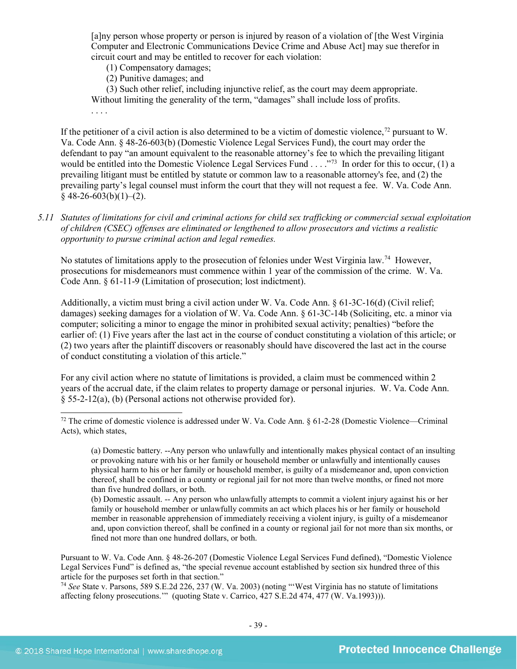[a]ny person whose property or person is injured by reason of a violation of [the West Virginia Computer and Electronic Communications Device Crime and Abuse Act] may sue therefor in circuit court and may be entitled to recover for each violation:

- (1) Compensatory damages;
- (2) Punitive damages; and

. . . .

(3) Such other relief, including injunctive relief, as the court may deem appropriate. Without limiting the generality of the term, "damages" shall include loss of profits.

If the petitioner of a civil action is also determined to be a victim of domestic violence,<sup>[72](#page-38-0)</sup> pursuant to W. Va. Code Ann. § 48-26-603(b) (Domestic Violence Legal Services Fund), the court may order the defendant to pay "an amount equivalent to the reasonable attorney's fee to which the prevailing litigant would be entitled into the Domestic Violence Legal Services Fund . . . ... <sup>773</sup> In order for this to occur, (1) a prevailing litigant must be entitled by statute or common law to a reasonable attorney's fee, and (2) the prevailing party's legal counsel must inform the court that they will not request a fee. W. Va. Code Ann.  $§$  48-26-603(b)(1)–(2).

*5.11 Statutes of limitations for civil and criminal actions for child sex trafficking or commercial sexual exploitation of children (CSEC) offenses are eliminated or lengthened to allow prosecutors and victims a realistic opportunity to pursue criminal action and legal remedies.*

No statutes of limitations apply to the prosecution of felonies under West Virginia law.<sup>[74](#page-38-2)</sup> However, prosecutions for misdemeanors must commence within 1 year of the commission of the crime. W. Va. Code Ann. § 61-11-9 (Limitation of prosecution; lost indictment).

Additionally, a victim must bring a civil action under W. Va. Code Ann. § 61-3C-16(d) (Civil relief; damages) seeking damages for a violation of W. Va. Code Ann. § 61-3C-14b (Soliciting, etc. a minor via computer; soliciting a minor to engage the minor in prohibited sexual activity; penalties) "before the earlier of: (1) Five years after the last act in the course of conduct constituting a violation of this article; or (2) two years after the plaintiff discovers or reasonably should have discovered the last act in the course of conduct constituting a violation of this article."

For any civil action where no statute of limitations is provided, a claim must be commenced within 2 years of the accrual date, if the claim relates to property damage or personal injuries. W. Va. Code Ann. § 55-2-12(a), (b) (Personal actions not otherwise provided for).

(b) Domestic assault. -- Any person who unlawfully attempts to commit a violent injury against his or her family or household member or unlawfully commits an act which places his or her family or household member in reasonable apprehension of immediately receiving a violent injury, is guilty of a misdemeanor and, upon conviction thereof, shall be confined in a county or regional jail for not more than six months, or fined not more than one hundred dollars, or both.

<span id="page-38-1"></span>Pursuant to W. Va. Code Ann. § 48-26-207 (Domestic Violence Legal Services Fund defined), "Domestic Violence Legal Services Fund" is defined as, "the special revenue account established by section six hundred three of this article for the purposes set forth in that section."

<span id="page-38-2"></span><sup>74</sup> *See* State v. Parsons, 589 S.E.2d 226, 237 (W. Va. 2003) (noting "'West Virginia has no statute of limitations affecting felony prosecutions.'" (quoting State v. Carrico, 427 S.E.2d 474, 477 (W. Va.1993))).

<span id="page-38-0"></span> $72$  The crime of domestic violence is addressed under W. Va. Code Ann.  $\frac{61-2-28}{2}$  (Domestic Violence—Criminal Acts), which states,

<sup>(</sup>a) Domestic battery. --Any person who unlawfully and intentionally makes physical contact of an insulting or provoking nature with his or her family or household member or unlawfully and intentionally causes physical harm to his or her family or household member, is guilty of a misdemeanor and, upon conviction thereof, shall be confined in a county or regional jail for not more than twelve months, or fined not more than five hundred dollars, or both.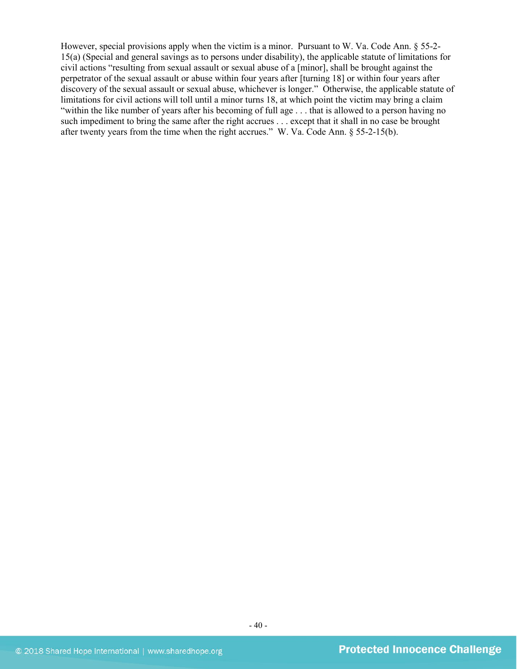However, special provisions apply when the victim is a minor. Pursuant to W. Va. Code Ann. § 55-2-15(a) (Special and general savings as to persons under disability), the applicable statute of limitations for civil actions "resulting from sexual assault or sexual abuse of a [minor], shall be brought against the perpetrator of the sexual assault or abuse within four years after [turning 18] or within four years after discovery of the sexual assault or sexual abuse, whichever is longer." Otherwise, the applicable statute of limitations for civil actions will toll until a minor turns 18, at which point the victim may bring a claim "within the like number of years after his becoming of full age . . . that is allowed to a person having no such impediment to bring the same after the right accrues . . . except that it shall in no case be brought after twenty years from the time when the right accrues." W. Va. Code Ann. § 55-2-15(b).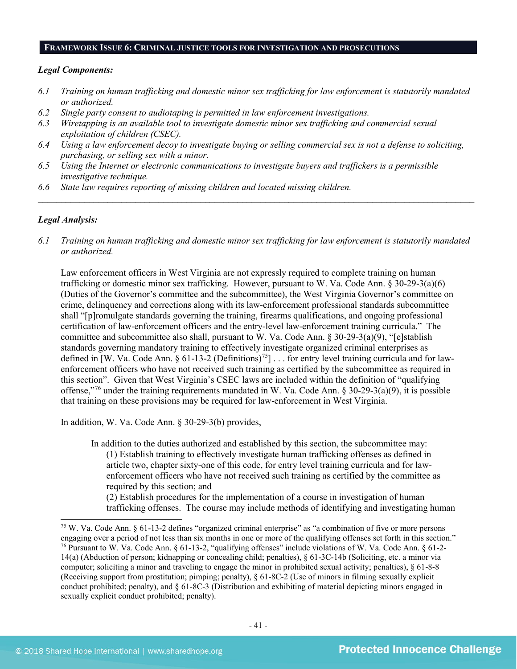#### **FRAMEWORK ISSUE 6: CRIMINAL JUSTICE TOOLS FOR INVESTIGATION AND PROSECUTIONS**

#### *Legal Components:*

- *6.1 Training on human trafficking and domestic minor sex trafficking for law enforcement is statutorily mandated or authorized.*
- *6.2 Single party consent to audiotaping is permitted in law enforcement investigations.*
- *6.3 Wiretapping is an available tool to investigate domestic minor sex trafficking and commercial sexual exploitation of children (CSEC).*
- *6.4 Using a law enforcement decoy to investigate buying or selling commercial sex is not a defense to soliciting, purchasing, or selling sex with a minor.*
- *6.5 Using the Internet or electronic communications to investigate buyers and traffickers is a permissible investigative technique.*
- *6.6 State law requires reporting of missing children and located missing children.*

#### *Legal Analysis:*

*6.1 Training on human trafficking and domestic minor sex trafficking for law enforcement is statutorily mandated or authorized.*

*\_\_\_\_\_\_\_\_\_\_\_\_\_\_\_\_\_\_\_\_\_\_\_\_\_\_\_\_\_\_\_\_\_\_\_\_\_\_\_\_\_\_\_\_\_\_\_\_\_\_\_\_\_\_\_\_\_\_\_\_\_\_\_\_\_\_\_\_\_\_\_\_\_\_\_\_\_\_\_\_\_\_\_\_\_\_\_\_\_\_\_\_\_\_*

Law enforcement officers in West Virginia are not expressly required to complete training on human trafficking or domestic minor sex trafficking. However, pursuant to W. Va. Code Ann. § 30-29-3(a)(6) (Duties of the Governor's committee and the subcommittee), the West Virginia Governor's committee on crime, delinquency and corrections along with its law-enforcement professional standards subcommittee shall "[p]romulgate standards governing the training, firearms qualifications, and ongoing professional certification of law-enforcement officers and the entry-level law-enforcement training curricula." The committee and subcommittee also shall, pursuant to W. Va. Code Ann. § 30-29-3(a)(9), "[e]stablish standards governing mandatory training to effectively investigate organized criminal enterprises as defined in [W. Va. Code Ann. § 61-13-2 (Definitions)<sup>75</sup>] . . . for entry level training curricula and for lawenforcement officers who have not received such training as certified by the subcommittee as required in this section". Given that West Virginia's CSEC laws are included within the definition of "qualifying offense,"[76](#page-40-1) under the training requirements mandated in W. Va. Code Ann. § 30-29-3(a)(9), it is possible that training on these provisions may be required for law-enforcement in West Virginia.

In addition, W. Va. Code Ann. § 30-29-3(b) provides,

In addition to the duties authorized and established by this section, the subcommittee may: (1) Establish training to effectively investigate human trafficking offenses as defined in article two, chapter sixty-one of this code, for entry level training curricula and for lawenforcement officers who have not received such training as certified by the committee as required by this section; and

(2) Establish procedures for the implementation of a course in investigation of human trafficking offenses. The course may include methods of identifying and investigating human

<span id="page-40-1"></span><span id="page-40-0"></span> <sup>75</sup> W. Va. Code Ann. § 61-13-2 defines "organized criminal enterprise" as "a combination of five or more persons engaging over a period of not less than six months in one or more of the qualifying offenses set forth in this section." <sup>76</sup> Pursuant to W. Va. Code Ann. § 61-13-2, "qualifying offenses" include violations of W. Va. Code Ann. § 61-2- 14(a) (Abduction of person; kidnapping or concealing child; penalties), § 61-3C-14b (Soliciting, etc. a minor via computer; soliciting a minor and traveling to engage the minor in prohibited sexual activity; penalties), § 61-8-8 (Receiving support from prostitution; pimping; penalty), § 61-8C-2 (Use of minors in filming sexually explicit conduct prohibited; penalty), and § 61-8C-3 (Distribution and exhibiting of material depicting minors engaged in sexually explicit conduct prohibited; penalty).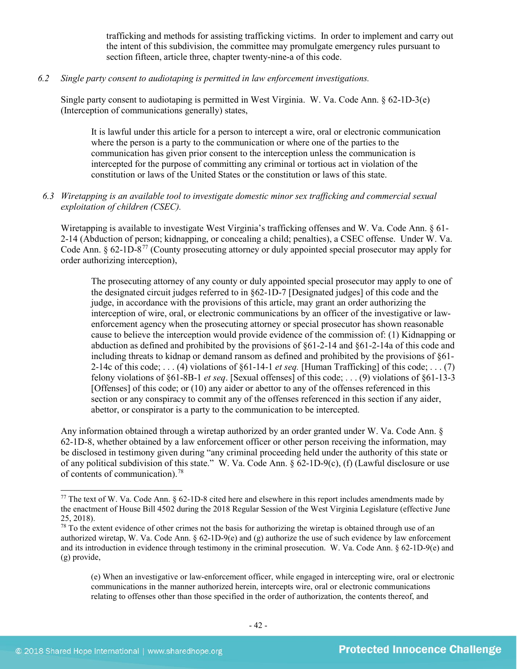trafficking and methods for assisting trafficking victims. In order to implement and carry out the intent of this subdivision, the committee may promulgate emergency rules pursuant to section fifteen, article three, chapter twenty-nine-a of this code.

#### *6.2 Single party consent to audiotaping is permitted in law enforcement investigations.*

Single party consent to audiotaping is permitted in West Virginia. W. Va. Code Ann. § 62-1D-3(e) (Interception of communications generally) states,

It is lawful under this article for a person to intercept a wire, oral or electronic communication where the person is a party to the communication or where one of the parties to the communication has given prior consent to the interception unless the communication is intercepted for the purpose of committing any criminal or tortious act in violation of the constitution or laws of the United States or the constitution or laws of this state.

# *6.3 Wiretapping is an available tool to investigate domestic minor sex trafficking and commercial sexual exploitation of children (CSEC).*

Wiretapping is available to investigate West Virginia's trafficking offenses and W. Va. Code Ann. § 61- 2-14 (Abduction of person; kidnapping, or concealing a child; penalties), a CSEC offense. Under W. Va. Code Ann. § 62-1D-8[77](#page-41-0) (County prosecuting attorney or duly appointed special prosecutor may apply for order authorizing interception),

The prosecuting attorney of any county or duly appointed special prosecutor may apply to one of the designated circuit judges referred to in §62-1D-7 [Designated judges] of this code and the judge, in accordance with the provisions of this article, may grant an order authorizing the interception of wire, oral, or electronic communications by an officer of the investigative or lawenforcement agency when the prosecuting attorney or special prosecutor has shown reasonable cause to believe the interception would provide evidence of the commission of: (1) Kidnapping or abduction as defined and prohibited by the provisions of §61-2-14 and §61-2-14a of this code and including threats to kidnap or demand ransom as defined and prohibited by the provisions of §61- 2-14c of this code; . . . (4) violations of §61-14-1 *et seq.* [Human Trafficking] of this code; . . . (7) felony violations of §61-8B-1 *et seq*. [Sexual offenses] of this code; . . . (9) violations of §61-13-3 [Offenses] of this code; or (10) any aider or abettor to any of the offenses referenced in this section or any conspiracy to commit any of the offenses referenced in this section if any aider, abettor, or conspirator is a party to the communication to be intercepted.

Any information obtained through a wiretap authorized by an order granted under W. Va. Code Ann. § 62-1D-8, whether obtained by a law enforcement officer or other person receiving the information, may be disclosed in testimony given during "any criminal proceeding held under the authority of this state or of any political subdivision of this state." W. Va. Code Ann. § 62-1D-9(c), (f) (Lawful disclosure or use of contents of communication). [78](#page-41-1)

<span id="page-41-0"></span> <sup>77</sup> The text of W. Va. Code Ann. § 62-1D-8 cited here and elsewhere in this report includes amendments made by the enactment of House Bill 4502 during the 2018 Regular Session of the West Virginia Legislature (effective June 25, 2018).

<span id="page-41-1"></span> $78$  To the extent evidence of other crimes not the basis for authorizing the wiretap is obtained through use of an authorized wiretap, W. Va. Code Ann.  $\S 62-1D-9(e)$  and (g) authorize the use of such evidence by law enforcement and its introduction in evidence through testimony in the criminal prosecution. W. Va. Code Ann. § 62-1D-9(e) and (g) provide,

<sup>(</sup>e) When an investigative or law-enforcement officer, while engaged in intercepting wire, oral or electronic communications in the manner authorized herein, intercepts wire, oral or electronic communications relating to offenses other than those specified in the order of authorization, the contents thereof, and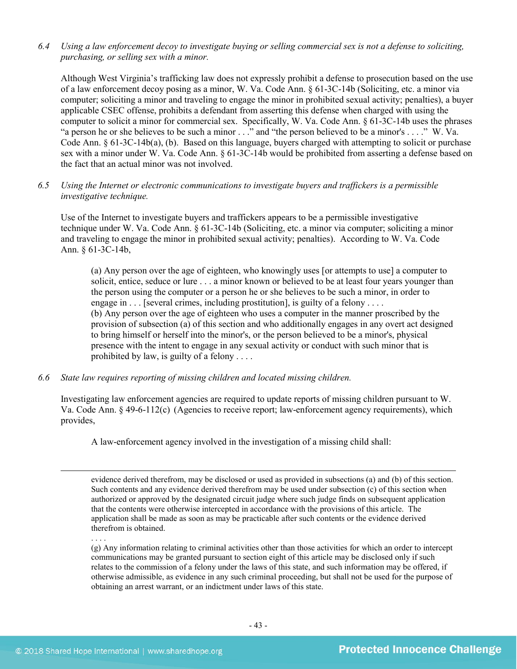# *6.4 Using a law enforcement decoy to investigate buying or selling commercial sex is not a defense to soliciting, purchasing, or selling sex with a minor.*

Although West Virginia's trafficking law does not expressly prohibit a defense to prosecution based on the use of a law enforcement decoy posing as a minor, W. Va. Code Ann. § 61-3C-14b (Soliciting, etc. a minor via computer; soliciting a minor and traveling to engage the minor in prohibited sexual activity; penalties), a buyer applicable CSEC offense, prohibits a defendant from asserting this defense when charged with using the computer to solicit a minor for commercial sex. Specifically, W. Va. Code Ann. § 61-3C-14b uses the phrases "a person he or she believes to be such a minor . . ." and "the person believed to be a minor's . . . ." W. Va. Code Ann. § 61-3C-14b(a), (b). Based on this language, buyers charged with attempting to solicit or purchase sex with a minor under W. Va. Code Ann. § 61-3C-14b would be prohibited from asserting a defense based on the fact that an actual minor was not involved.

### *6.5 Using the Internet or electronic communications to investigate buyers and traffickers is a permissible investigative technique.*

Use of the Internet to investigate buyers and traffickers appears to be a permissible investigative technique under W. Va. Code Ann. § 61-3C-14b (Soliciting, etc. a minor via computer; soliciting a minor and traveling to engage the minor in prohibited sexual activity; penalties). According to W. Va. Code Ann. § 61-3C-14b,

(a) Any person over the age of eighteen, who knowingly uses [or attempts to use] a computer to solicit, entice, seduce or lure . . . a minor known or believed to be at least four years younger than the person using the computer or a person he or she believes to be such a minor, in order to engage in . . . [several crimes, including prostitution], is guilty of a felony . . . . (b) Any person over the age of eighteen who uses a computer in the manner proscribed by the provision of subsection (a) of this section and who additionally engages in any overt act designed to bring himself or herself into the minor's, or the person believed to be a minor's, physical presence with the intent to engage in any sexual activity or conduct with such minor that is prohibited by law, is guilty of a felony . . . .

*6.6 State law requires reporting of missing children and located missing children.*

Investigating law enforcement agencies are required to update reports of missing children pursuant to W. Va. Code Ann. § 49-6-112(c) (Agencies to receive report; law-enforcement agency requirements), which provides,

A law-enforcement agency involved in the investigation of a missing child shall:

evidence derived therefrom, may be disclosed or used as provided in subsections (a) and (b) of this section. Such contents and any evidence derived therefrom may be used under subsection (c) of this section when authorized or approved by the designated circuit judge where such judge finds on subsequent application that the contents were otherwise intercepted in accordance with the provisions of this article. The application shall be made as soon as may be practicable after such contents or the evidence derived therefrom is obtained.

(g) Any information relating to criminal activities other than those activities for which an order to intercept communications may be granted pursuant to section eight of this article may be disclosed only if such relates to the commission of a felony under the laws of this state, and such information may be offered, if otherwise admissible, as evidence in any such criminal proceeding, but shall not be used for the purpose of obtaining an arrest warrant, or an indictment under laws of this state.

. . . .

 $\overline{a}$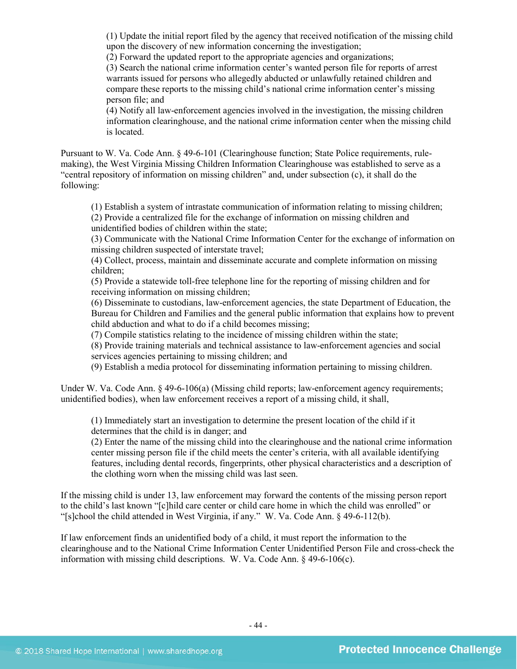(1) Update the initial report filed by the agency that received notification of the missing child upon the discovery of new information concerning the investigation;

(2) Forward the updated report to the appropriate agencies and organizations;

(3) Search the national crime information center's wanted person file for reports of arrest warrants issued for persons who allegedly abducted or unlawfully retained children and compare these reports to the missing child's national crime information center's missing person file; and

(4) Notify all law-enforcement agencies involved in the investigation, the missing children information clearinghouse, and the national crime information center when the missing child is located.

Pursuant to W. Va. Code Ann. § 49-6-101 (Clearinghouse function; State Police requirements, rulemaking), the West Virginia Missing Children Information Clearinghouse was established to serve as a "central repository of information on missing children" and, under subsection (c), it shall do the following:

(1) Establish a system of intrastate communication of information relating to missing children; (2) Provide a centralized file for the exchange of information on missing children and unidentified bodies of children within the state;

(3) Communicate with the National Crime Information Center for the exchange of information on missing children suspected of interstate travel;

(4) Collect, process, maintain and disseminate accurate and complete information on missing children;

(5) Provide a statewide toll-free telephone line for the reporting of missing children and for receiving information on missing children;

(6) Disseminate to custodians, law-enforcement agencies, the state Department of Education, the Bureau for Children and Families and the general public information that explains how to prevent child abduction and what to do if a child becomes missing;

(7) Compile statistics relating to the incidence of missing children within the state;

(8) Provide training materials and technical assistance to law-enforcement agencies and social services agencies pertaining to missing children; and

(9) Establish a media protocol for disseminating information pertaining to missing children.

Under W. Va. Code Ann. § 49-6-106(a) (Missing child reports; law-enforcement agency requirements; unidentified bodies), when law enforcement receives a report of a missing child, it shall,

(1) Immediately start an investigation to determine the present location of the child if it determines that the child is in danger; and

(2) Enter the name of the missing child into the clearinghouse and the national crime information center missing person file if the child meets the center's criteria, with all available identifying features, including dental records, fingerprints, other physical characteristics and a description of the clothing worn when the missing child was last seen.

If the missing child is under 13, law enforcement may forward the contents of the missing person report to the child's last known "[c]hild care center or child care home in which the child was enrolled" or "[s]chool the child attended in West Virginia, if any." W. Va. Code Ann. § 49-6-112(b).

If law enforcement finds an unidentified body of a child, it must report the information to the clearinghouse and to the National Crime Information Center Unidentified Person File and cross-check the information with missing child descriptions. W. Va. Code Ann. § 49-6-106(c).